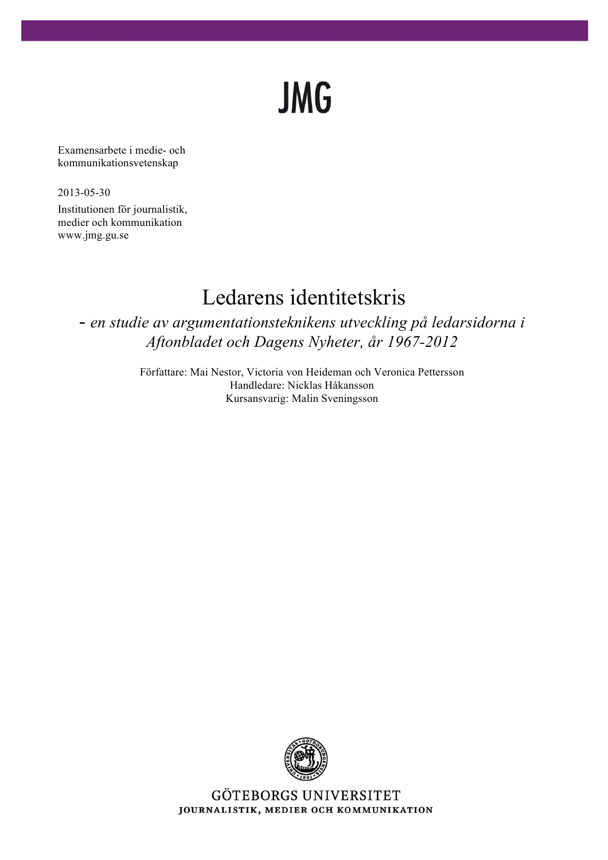# **JMG**

Examensarbete i medie- och kommunikationsvetenskap

2013-05-30

Institutionen för journalistik, medier och kommunikation www.jmg.gu.se

# Ledarens identitetskris

- *en studie av argumentationsteknikens utveckling på ledarsidorna i Aftonbladet och Dagens Nyheter, år 1967-2012*

> Författare: Mai Nestor, Victoria von Heideman och Veronica Pettersson Handledare: Nicklas Håkansson Kursansvarig: Malin Sveningsson



GÖTEBORGS UNIVERSITET JOURNALISTIK, MEDIER OCH KOMMUNIKATION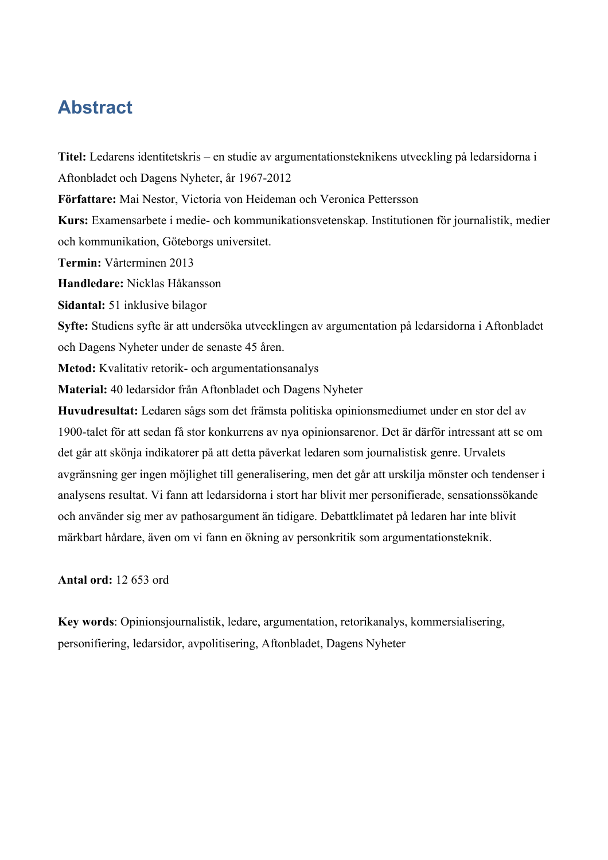# **Abstract**

**Titel:** Ledarens identitetskris – en studie av argumentationsteknikens utveckling på ledarsidorna i Aftonbladet och Dagens Nyheter, år 1967-2012 **Författare:** Mai Nestor, Victoria von Heideman och Veronica Pettersson **Kurs:** Examensarbete i medie- och kommunikationsvetenskap. Institutionen för journalistik, medier och kommunikation, Göteborgs universitet. **Termin:** Vårterminen 2013 **Handledare:** Nicklas Håkansson **Sidantal:** 51 inklusive bilagor **Syfte:** Studiens syfte är att undersöka utvecklingen av argumentation på ledarsidorna i Aftonbladet och Dagens Nyheter under de senaste 45 åren. **Metod:** Kvalitativ retorik- och argumentationsanalys **Material:** 40 ledarsidor från Aftonbladet och Dagens Nyheter **Huvudresultat:** Ledaren sågs som det främsta politiska opinionsmediumet under en stor del av 1900-talet för att sedan få stor konkurrens av nya opinionsarenor. Det är därför intressant att se om det går att skönja indikatorer på att detta påverkat ledaren som journalistisk genre. Urvalets avgränsning ger ingen möjlighet till generalisering, men det går att urskilja mönster och tendenser i analysens resultat. Vi fann att ledarsidorna i stort har blivit mer personifierade, sensationssökande och använder sig mer av pathosargument än tidigare. Debattklimatet på ledaren har inte blivit märkbart hårdare, även om vi fann en ökning av personkritik som argumentationsteknik.

**Antal ord:** 12 653 ord

**Key words**: Opinionsjournalistik, ledare, argumentation, retorikanalys, kommersialisering, personifiering, ledarsidor, avpolitisering, Aftonbladet, Dagens Nyheter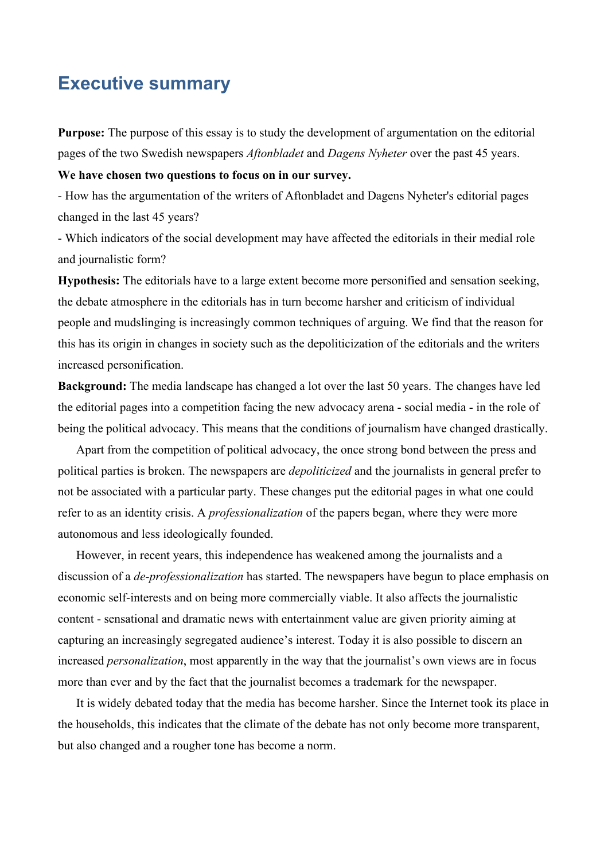# **Executive summary**

**Purpose:** The purpose of this essay is to study the development of argumentation on the editorial pages of the two Swedish newspapers *Aftonbladet* and *Dagens Nyheter* over the past 45 years.

**We have chosen two questions to focus on in our survey.** 

- How has the argumentation of the writers of Aftonbladet and Dagens Nyheter's editorial pages changed in the last 45 years?

- Which indicators of the social development may have affected the editorials in their medial role and journalistic form?

**Hypothesis:** The editorials have to a large extent become more personified and sensation seeking, the debate atmosphere in the editorials has in turn become harsher and criticism of individual people and mudslinging is increasingly common techniques of arguing. We find that the reason for this has its origin in changes in society such as the depoliticization of the editorials and the writers increased personification.

**Background:** The media landscape has changed a lot over the last 50 years. The changes have led the editorial pages into a competition facing the new advocacy arena - social media - in the role of being the political advocacy. This means that the conditions of journalism have changed drastically.

 Apart from the competition of political advocacy, the once strong bond between the press and political parties is broken. The newspapers are *depoliticized* and the journalists in general prefer to not be associated with a particular party. These changes put the editorial pages in what one could refer to as an identity crisis. A *professionalization* of the papers began, where they were more autonomous and less ideologically founded.

 However, in recent years, this independence has weakened among the journalists and a discussion of a *de-professionalization* has started. The newspapers have begun to place emphasis on economic self-interests and on being more commercially viable. It also affects the journalistic content - sensational and dramatic news with entertainment value are given priority aiming at capturing an increasingly segregated audience's interest. Today it is also possible to discern an increased *personalization*, most apparently in the way that the journalist's own views are in focus more than ever and by the fact that the journalist becomes a trademark for the newspaper.

 It is widely debated today that the media has become harsher. Since the Internet took its place in the households, this indicates that the climate of the debate has not only become more transparent, but also changed and a rougher tone has become a norm.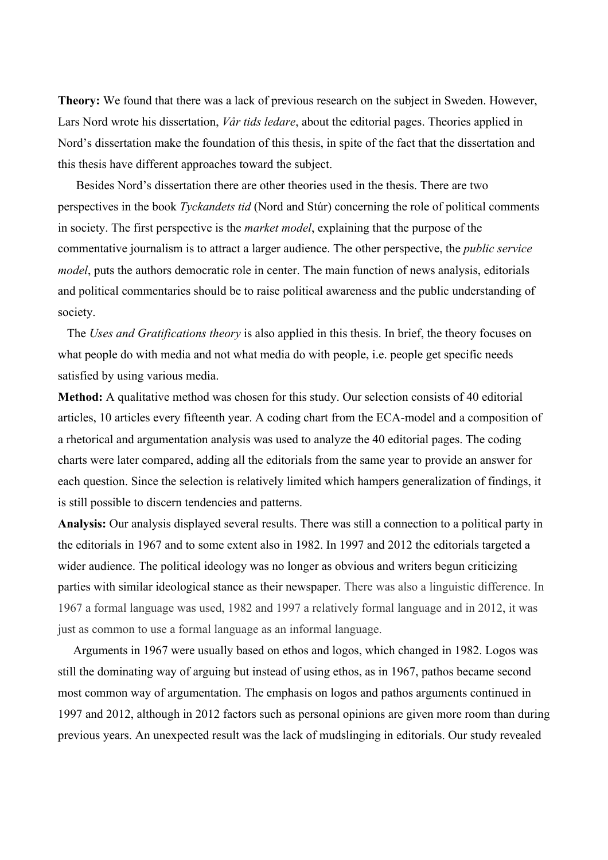**Theory:** We found that there was a lack of previous research on the subject in Sweden. However, Lars Nord wrote his dissertation, *Vår tids ledare*, about the editorial pages. Theories applied in Nord's dissertation make the foundation of this thesis, in spite of the fact that the dissertation and this thesis have different approaches toward the subject.

 Besides Nord's dissertation there are other theories used in the thesis. There are two perspectives in the book *Tyckandets tid* (Nord and Stúr) concerning the role of political comments in society. The first perspective is the *market model*, explaining that the purpose of the commentative journalism is to attract a larger audience. The other perspective, the *public service model*, puts the authors democratic role in center. The main function of news analysis, editorials and political commentaries should be to raise political awareness and the public understanding of society.

 The *Uses and Gratifications theory* is also applied in this thesis. In brief, the theory focuses on what people do with media and not what media do with people, i.e. people get specific needs satisfied by using various media.

**Method:** A qualitative method was chosen for this study. Our selection consists of 40 editorial articles, 10 articles every fifteenth year. A coding chart from the ECA-model and a composition of a rhetorical and argumentation analysis was used to analyze the 40 editorial pages. The coding charts were later compared, adding all the editorials from the same year to provide an answer for each question. Since the selection is relatively limited which hampers generalization of findings, it is still possible to discern tendencies and patterns.

**Analysis:** Our analysis displayed several results. There was still a connection to a political party in the editorials in 1967 and to some extent also in 1982. In 1997 and 2012 the editorials targeted a wider audience. The political ideology was no longer as obvious and writers begun criticizing parties with similar ideological stance as their newspaper. There was also a linguistic difference. In 1967 a formal language was used, 1982 and 1997 a relatively formal language and in 2012, it was just as common to use a formal language as an informal language.

 Arguments in 1967 were usually based on ethos and logos, which changed in 1982. Logos was still the dominating way of arguing but instead of using ethos, as in 1967, pathos became second most common way of argumentation. The emphasis on logos and pathos arguments continued in 1997 and 2012, although in 2012 factors such as personal opinions are given more room than during previous years. An unexpected result was the lack of mudslinging in editorials. Our study revealed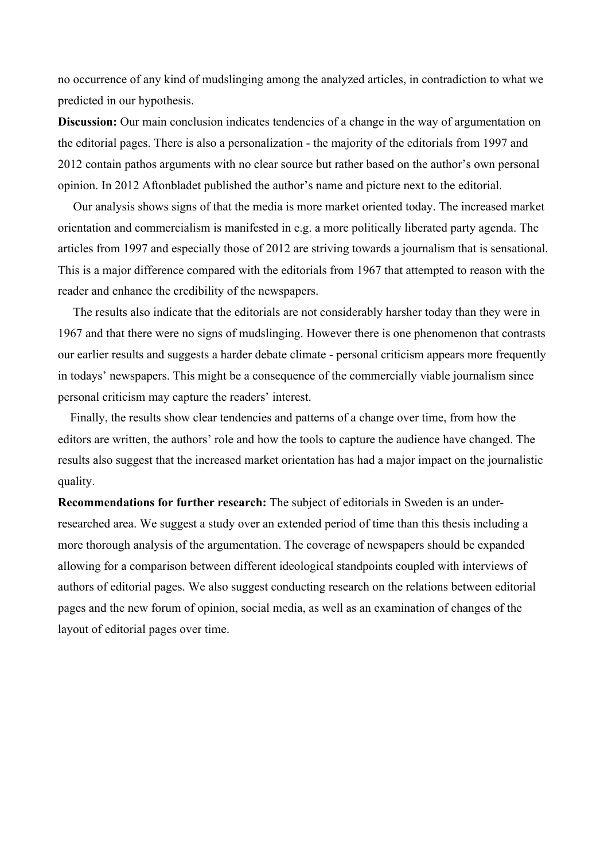no occurrence of any kind of mudslinging among the analyzed articles, in contradiction to what we predicted in our hypothesis.

**Discussion:** Our main conclusion indicates tendencies of a change in the way of argumentation on the editorial pages. There is also a personalization - the majority of the editorials from 1997 and 2012 contain pathos arguments with no clear source but rather based on the author's own personal opinion. In 2012 Aftonbladet published the author's name and picture next to the editorial.

 Our analysis shows signs of that the media is more market oriented today. The increased market orientation and commercialism is manifested in e.g. a more politically liberated party agenda. The articles from 1997 and especially those of 2012 are striving towards a journalism that is sensational. This is a major difference compared with the editorials from 1967 that attempted to reason with the reader and enhance the credibility of the newspapers.

 The results also indicate that the editorials are not considerably harsher today than they were in 1967 and that there were no signs of mudslinging. However there is one phenomenon that contrasts our earlier results and suggests a harder debate climate - personal criticism appears more frequently in todays' newspapers. This might be a consequence of the commercially viable journalism since personal criticism may capture the readers' interest.

 Finally, the results show clear tendencies and patterns of a change over time, from how the editors are written, the authors' role and how the tools to capture the audience have changed. The results also suggest that the increased market orientation has had a major impact on the journalistic quality.

**Recommendations for further research:** The subject of editorials in Sweden is an underresearched area. We suggest a study over an extended period of time than this thesis including a more thorough analysis of the argumentation. The coverage of newspapers should be expanded allowing for a comparison between different ideological standpoints coupled with interviews of authors of editorial pages. We also suggest conducting research on the relations between editorial pages and the new forum of opinion, social media, as well as an examination of changes of the layout of editorial pages over time.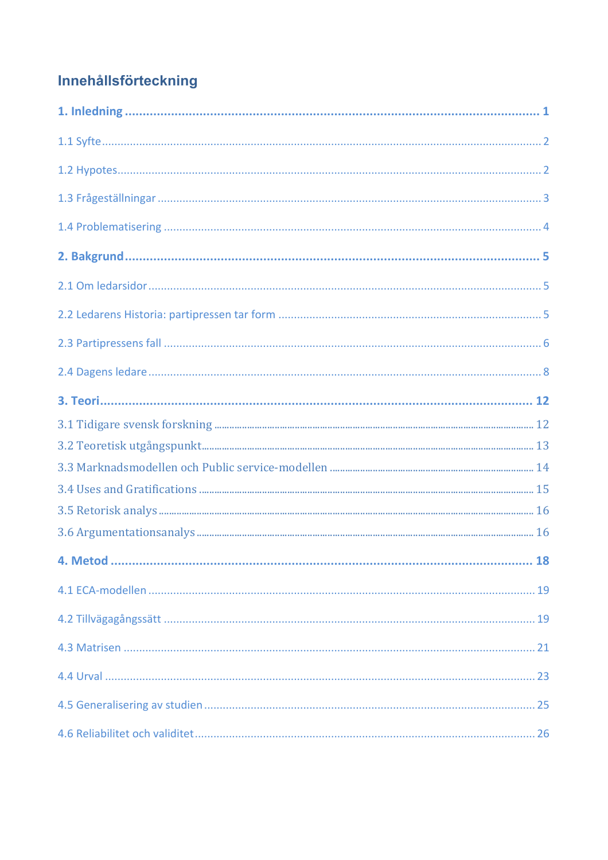# Innehållsförteckning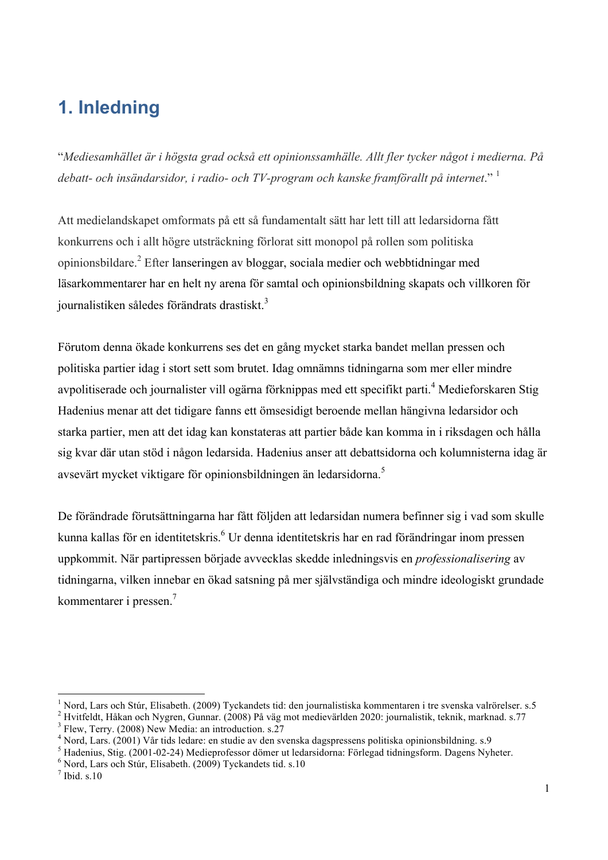# **1. Inledning**

"*Mediesamhället är i högsta grad också ett opinionssamhälle. Allt fler tycker något i medierna. På debatt- och insändarsidor, i radio- och TV-program och kanske framförallt på internet*." <sup>1</sup>

Att medielandskapet omformats på ett så fundamentalt sätt har lett till att ledarsidorna fått konkurrens och i allt högre utsträckning förlorat sitt monopol på rollen som politiska opinionsbildare.<sup>2</sup> Efter lanseringen av bloggar, sociala medier och webbtidningar med läsarkommentarer har en helt ny arena för samtal och opinionsbildning skapats och villkoren för journalistiken således förändrats drastiskt.<sup>3</sup>

Förutom denna ökade konkurrens ses det en gång mycket starka bandet mellan pressen och politiska partier idag i stort sett som brutet. Idag omnämns tidningarna som mer eller mindre avpolitiserade och journalister vill ogärna förknippas med ett specifikt parti. <sup>4</sup> Medieforskaren Stig Hadenius menar att det tidigare fanns ett ömsesidigt beroende mellan hängivna ledarsidor och starka partier, men att det idag kan konstateras att partier både kan komma in i riksdagen och hålla sig kvar där utan stöd i någon ledarsida. Hadenius anser att debattsidorna och kolumnisterna idag är avsevärt mycket viktigare för opinionsbildningen än ledarsidorna. 5

De förändrade förutsättningarna har fått följden att ledarsidan numera befinner sig i vad som skulle kunna kallas för en identitetskris.<sup>6</sup> Ur denna identitetskris har en rad förändringar inom pressen uppkommit. När partipressen började avvecklas skedde inledningsvis en *professionalisering* av tidningarna, vilken innebar en ökad satsning på mer självständiga och mindre ideologiskt grundade kommentarer i pressen.<sup>7</sup>

<sup>&</sup>lt;sup>1</sup> Nord, Lars och Stúr, Elisabeth. (2009) Tyckandets tid: den journalistiska kommentaren i tre svenska valrörelser. s.5

<sup>&</sup>lt;sup>2</sup> Hvitfeldt, Håkan och Nygren, Gunnar. (2008) På väg mot medievärlden 2020: journalistik, teknik, marknad. s.77  $^3$  Flew, Terry. (2008) New Media: an introduction. s.27

<sup>4</sup> Nord, Lars. (2001) Vår tids ledare: en studie av den svenska dagspressens politiska opinionsbildning. s.9

 $^5$  Hadenius, Stig. (2001-02-24) Medieprofessor dömer ut ledarsidorna: Förlegad tidningsform. Dagens Nyheter.  $^6$  Nord, Lars och Stúr, Elisabeth. (2009) Tyckandets tid. s.10

 $<sup>7</sup>$  Ibid. s.10</sup>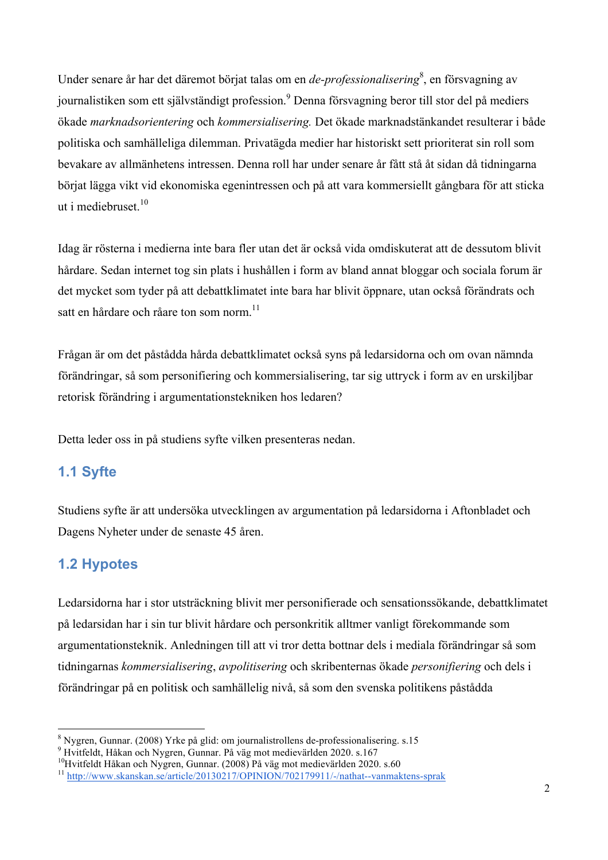Under senare år har det däremot börjat talas om en *de-professionalisering*<sup>8</sup>, en försvagning av journalistiken som ett självständigt profession. <sup>9</sup> Denna försvagning beror till stor del på mediers ökade *marknadsorientering* och *kommersialisering.* Det ökade marknadstänkandet resulterar i både politiska och samhälleliga dilemman. Privatägda medier har historiskt sett prioriterat sin roll som bevakare av allmänhetens intressen. Denna roll har under senare år fått stå åt sidan då tidningarna börjat lägga vikt vid ekonomiska egenintressen och på att vara kommersiellt gångbara för att sticka ut i mediebruset. 10

Idag är rösterna i medierna inte bara fler utan det är också vida omdiskuterat att de dessutom blivit hårdare. Sedan internet tog sin plats i hushållen i form av bland annat bloggar och sociala forum är det mycket som tyder på att debattklimatet inte bara har blivit öppnare, utan också förändrats och satt en hårdare och råare ton som norm.<sup>11</sup>

Frågan är om det påstådda hårda debattklimatet också syns på ledarsidorna och om ovan nämnda förändringar, så som personifiering och kommersialisering, tar sig uttryck i form av en urskiljbar retorisk förändring i argumentationstekniken hos ledaren?

Detta leder oss in på studiens syfte vilken presenteras nedan.

# **1.1 Syfte**

Studiens syfte är att undersöka utvecklingen av argumentation på ledarsidorna i Aftonbladet och Dagens Nyheter under de senaste 45 åren.

# **1.2 Hypotes**

Ledarsidorna har i stor utsträckning blivit mer personifierade och sensationssökande, debattklimatet på ledarsidan har i sin tur blivit hårdare och personkritik alltmer vanligt förekommande som argumentationsteknik. Anledningen till att vi tror detta bottnar dels i mediala förändringar så som tidningarnas *kommersialisering*, *avpolitisering* och skribenternas ökade *personifiering* och dels i förändringar på en politisk och samhällelig nivå, så som den svenska politikens påstådda

<sup>&</sup>lt;sup>8</sup> Nygren, Gunnar. (2008) Yrke på glid: om journalistrollens de-professionalisering. s.15<br><sup>9</sup> Hvitfeldt, Håkan och Nygren, Gunnar. På väg mot medievärlden 2020. s.167<br><sup>10</sup>Hvitfeldt Håkan och Nygren, Gunnar. (2008) På väg

<sup>11</sup> http://www.skanskan.se/article/20130217/OPINION/702179911/-/nathat--vanmaktens-sprak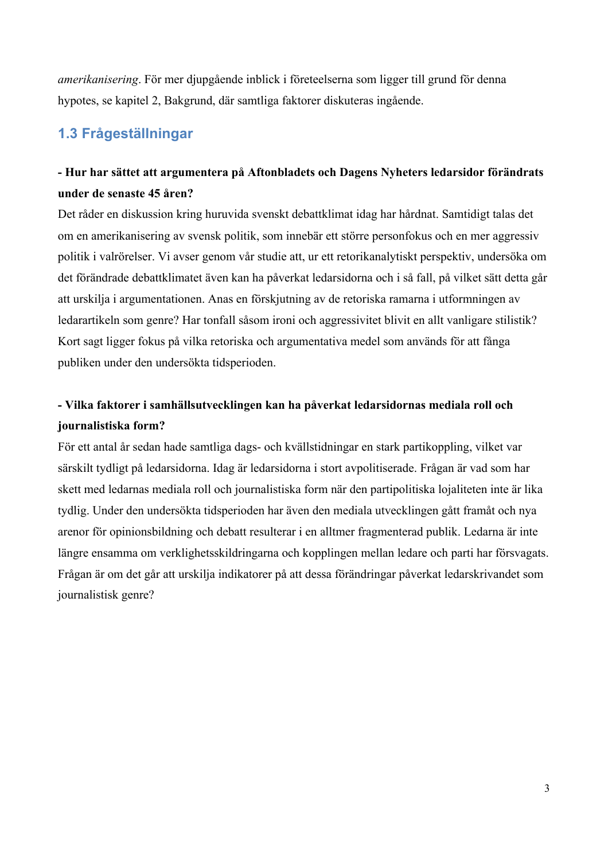*amerikanisering*. För mer djupgående inblick i företeelserna som ligger till grund för denna hypotes, se kapitel 2, Bakgrund, där samtliga faktorer diskuteras ingående.

# **1.3 Frågeställningar**

# **- Hur har sättet att argumentera på Aftonbladets och Dagens Nyheters ledarsidor förändrats under de senaste 45 åren?**

Det råder en diskussion kring huruvida svenskt debattklimat idag har hårdnat. Samtidigt talas det om en amerikanisering av svensk politik, som innebär ett större personfokus och en mer aggressiv politik i valrörelser. Vi avser genom vår studie att, ur ett retorikanalytiskt perspektiv, undersöka om det förändrade debattklimatet även kan ha påverkat ledarsidorna och i så fall, på vilket sätt detta går att urskilja i argumentationen. Anas en förskjutning av de retoriska ramarna i utformningen av ledarartikeln som genre? Har tonfall såsom ironi och aggressivitet blivit en allt vanligare stilistik? Kort sagt ligger fokus på vilka retoriska och argumentativa medel som används för att fånga publiken under den undersökta tidsperioden.

# **- Vilka faktorer i samhällsutvecklingen kan ha påverkat ledarsidornas mediala roll och journalistiska form?**

För ett antal år sedan hade samtliga dags- och kvällstidningar en stark partikoppling, vilket var särskilt tydligt på ledarsidorna. Idag är ledarsidorna i stort avpolitiserade. Frågan är vad som har skett med ledarnas mediala roll och journalistiska form när den partipolitiska lojaliteten inte är lika tydlig. Under den undersökta tidsperioden har även den mediala utvecklingen gått framåt och nya arenor för opinionsbildning och debatt resulterar i en alltmer fragmenterad publik. Ledarna är inte längre ensamma om verklighetsskildringarna och kopplingen mellan ledare och parti har försvagats. Frågan är om det går att urskilja indikatorer på att dessa förändringar påverkat ledarskrivandet som journalistisk genre?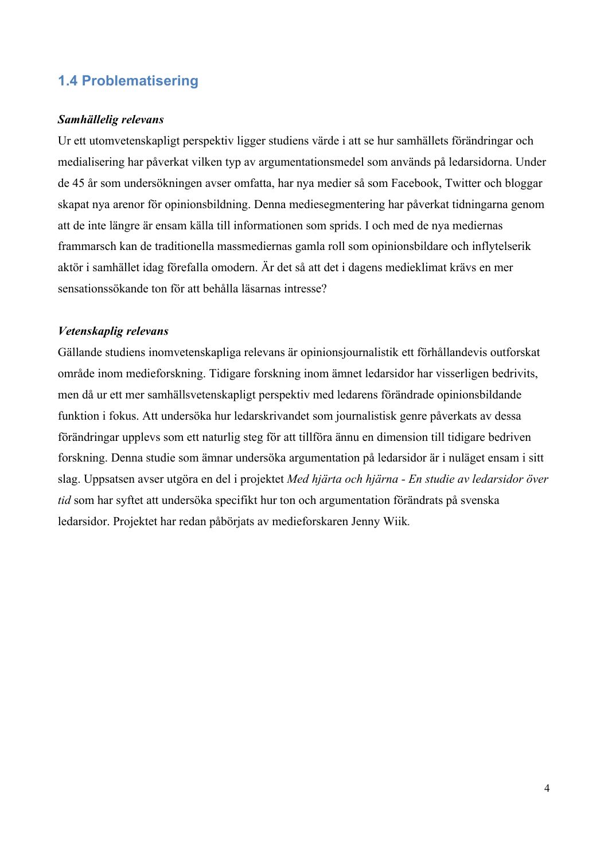# **1.4 Problematisering**

#### *Samhällelig relevans*

Ur ett utomvetenskapligt perspektiv ligger studiens värde i att se hur samhällets förändringar och medialisering har påverkat vilken typ av argumentationsmedel som används på ledarsidorna. Under de 45 år som undersökningen avser omfatta, har nya medier så som Facebook, Twitter och bloggar skapat nya arenor för opinionsbildning. Denna mediesegmentering har påverkat tidningarna genom att de inte längre är ensam källa till informationen som sprids. I och med de nya mediernas frammarsch kan de traditionella massmediernas gamla roll som opinionsbildare och inflytelserik aktör i samhället idag förefalla omodern. Är det så att det i dagens medieklimat krävs en mer sensationssökande ton för att behålla läsarnas intresse?

#### *Vetenskaplig relevans*

Gällande studiens inomvetenskapliga relevans är opinionsjournalistik ett förhållandevis outforskat område inom medieforskning. Tidigare forskning inom ämnet ledarsidor har visserligen bedrivits, men då ur ett mer samhällsvetenskapligt perspektiv med ledarens förändrade opinionsbildande funktion i fokus. Att undersöka hur ledarskrivandet som journalistisk genre påverkats av dessa förändringar upplevs som ett naturlig steg för att tillföra ännu en dimension till tidigare bedriven forskning. Denna studie som ämnar undersöka argumentation på ledarsidor är i nuläget ensam i sitt slag. Uppsatsen avser utgöra en del i projektet *Med hjärta och hjärna - En studie av ledarsidor över tid* som har syftet att undersöka specifikt hur ton och argumentation förändrats på svenska ledarsidor. Projektet har redan påbörjats av medieforskaren Jenny Wiik*.*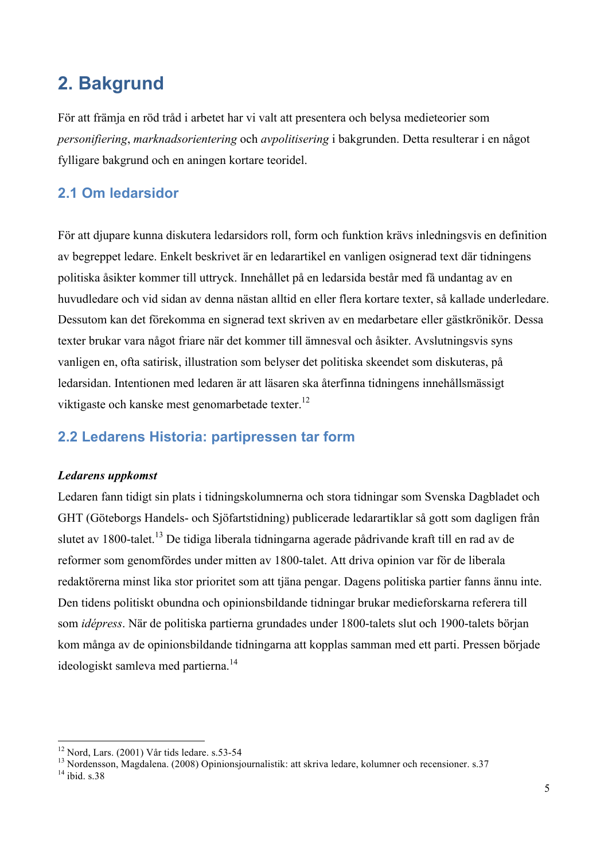# **2. Bakgrund**

För att främja en röd tråd i arbetet har vi valt att presentera och belysa medieteorier som *personifiering*, *marknadsorientering* och *avpolitisering* i bakgrunden. Detta resulterar i en något fylligare bakgrund och en aningen kortare teoridel.

# **2.1 Om ledarsidor**

För att djupare kunna diskutera ledarsidors roll, form och funktion krävs inledningsvis en definition av begreppet ledare. Enkelt beskrivet är en ledarartikel en vanligen osignerad text där tidningens politiska åsikter kommer till uttryck. Innehållet på en ledarsida består med få undantag av en huvudledare och vid sidan av denna nästan alltid en eller flera kortare texter, så kallade underledare. Dessutom kan det förekomma en signerad text skriven av en medarbetare eller gästkrönikör. Dessa texter brukar vara något friare när det kommer till ämnesval och åsikter. Avslutningsvis syns vanligen en, ofta satirisk, illustration som belyser det politiska skeendet som diskuteras, på ledarsidan. Intentionen med ledaren är att läsaren ska återfinna tidningens innehållsmässigt viktigaste och kanske mest genomarbetade texter.<sup>12</sup>

# **2.2 Ledarens Historia: partipressen tar form**

#### *Ledarens uppkomst*

Ledaren fann tidigt sin plats i tidningskolumnerna och stora tidningar som Svenska Dagbladet och GHT (Göteborgs Handels- och Sjöfartstidning) publicerade ledarartiklar så gott som dagligen från slutet av 1800-talet.<sup>13</sup> De tidiga liberala tidningarna agerade pådrivande kraft till en rad av de reformer som genomfördes under mitten av 1800-talet. Att driva opinion var för de liberala redaktörerna minst lika stor prioritet som att tjäna pengar. Dagens politiska partier fanns ännu inte. Den tidens politiskt obundna och opinionsbildande tidningar brukar medieforskarna referera till som *idépress*. När de politiska partierna grundades under 1800-talets slut och 1900-talets början kom många av de opinionsbildande tidningarna att kopplas samman med ett parti. Pressen började ideologiskt samleva med partierna.<sup>14</sup>

<sup>&</sup>lt;sup>12</sup> Nord, Lars. (2001) Vår tids ledare. s.53-54<br><sup>13</sup> Nordensson, Magdalena. (2008) Opinionsjournalistik: att skriva ledare, kolumner och recensioner. s.37<br><sup>14</sup> ibid. s.38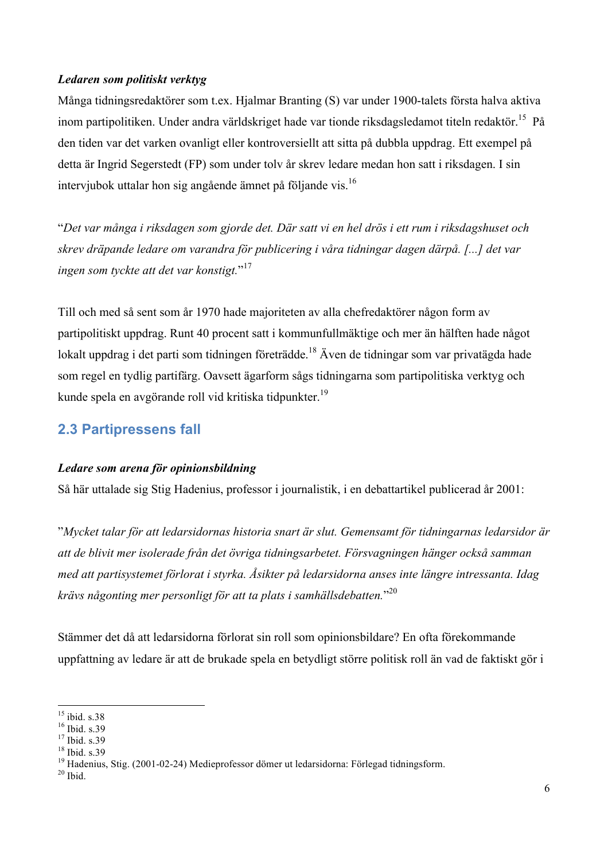#### *Ledaren som politiskt verktyg*

Många tidningsredaktörer som t.ex. Hjalmar Branting (S) var under 1900-talets första halva aktiva inom partipolitiken. Under andra världskriget hade var tionde riksdagsledamot titeln redaktör. <sup>15</sup> På den tiden var det varken ovanligt eller kontroversiellt att sitta på dubbla uppdrag. Ett exempel på detta är Ingrid Segerstedt (FP) som under tolv år skrev ledare medan hon satt i riksdagen. I sin intervjubok uttalar hon sig angående ämnet på följande vis. 16

"*Det var många i riksdagen som gjorde det. Där satt vi en hel drös i ett rum i riksdagshuset och skrev dräpande ledare om varandra för publicering i våra tidningar dagen därpå. [...] det var ingen som tyckte att det var konstigt.*" 17

Till och med så sent som år 1970 hade majoriteten av alla chefredaktörer någon form av partipolitiskt uppdrag. Runt 40 procent satt i kommunfullmäktige och mer än hälften hade något lokalt uppdrag i det parti som tidningen företrädde.<sup>18</sup> Även de tidningar som var privatägda hade som regel en tydlig partifärg. Oavsett ägarform sågs tidningarna som partipolitiska verktyg och kunde spela en avgörande roll vid kritiska tidpunkter.19

### **2.3 Partipressens fall**

#### *Ledare som arena för opinionsbildning*

Så här uttalade sig Stig Hadenius, professor i journalistik, i en debattartikel publicerad år 2001:

"*Mycket talar för att ledarsidornas historia snart är slut. Gemensamt för tidningarnas ledarsidor är att de blivit mer isolerade från det övriga tidningsarbetet. Försvagningen hänger också samman med att partisystemet förlorat i styrka. Åsikter på ledarsidorna anses inte längre intressanta. Idag krävs någonting mer personligt för att ta plats i samhällsdebatten.*" 20

Stämmer det då att ledarsidorna förlorat sin roll som opinionsbildare? En ofta förekommande uppfattning av ledare är att de brukade spela en betydligt större politisk roll än vad de faktiskt gör i

<sup>&</sup>lt;sup>15</sup> ibid. s.38<br><sup>16</sup> Ibid. s.39<br><sup>17</sup> Ibid. s.39<br><sup>18</sup> Ibid. s.39<br><sup>18</sup> Hadenius, Stig. (2001-02-24) Medieprofessor dömer ut ledarsidorna: Förlegad tidningsform.<br><sup>20</sup> Ibid.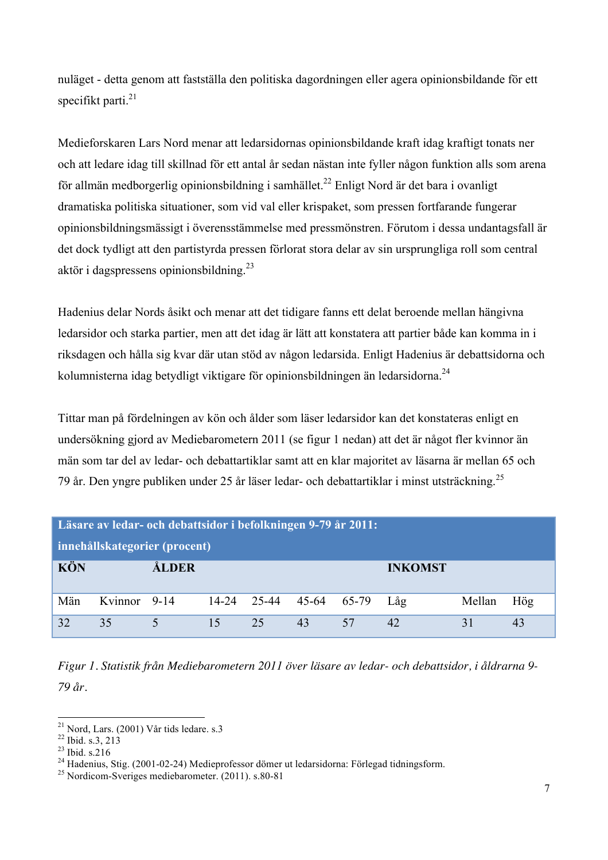nuläget - detta genom att fastställa den politiska dagordningen eller agera opinionsbildande för ett specifikt parti. $21$ 

Medieforskaren Lars Nord menar att ledarsidornas opinionsbildande kraft idag kraftigt tonats ner och att ledare idag till skillnad för ett antal år sedan nästan inte fyller någon funktion alls som arena för allmän medborgerlig opinionsbildning i samhället.<sup>22</sup> Enligt Nord är det bara i ovanligt dramatiska politiska situationer, som vid val eller krispaket, som pressen fortfarande fungerar opinionsbildningsmässigt i överensstämmelse med pressmönstren. Förutom i dessa undantagsfall är det dock tydligt att den partistyrda pressen förlorat stora delar av sin ursprungliga roll som central aktör i dagspressens opinionsbildning.23

Hadenius delar Nords åsikt och menar att det tidigare fanns ett delat beroende mellan hängivna ledarsidor och starka partier, men att det idag är lätt att konstatera att partier både kan komma in i riksdagen och hålla sig kvar där utan stöd av någon ledarsida. Enligt Hadenius är debattsidorna och kolumnisterna idag betydligt viktigare för opinionsbildningen än ledarsidorna.<sup>24</sup>

Tittar man på fördelningen av kön och ålder som läser ledarsidor kan det konstateras enligt en undersökning gjord av Mediebarometern 2011 (se figur 1 nedan) att det är något fler kvinnor än män som tar del av ledar- och debattartiklar samt att en klar majoritet av läsarna är mellan 65 och 79 år. Den yngre publiken under 25 år läser ledar- och debattartiklar i minst utsträckning.<sup>25</sup>

| Läsare av ledar- och debattsidor i befolkningen 9-79 år 2011:<br>innehållskategorier (procent) |              |          |             |    |       |       |                |        |     |
|------------------------------------------------------------------------------------------------|--------------|----------|-------------|----|-------|-------|----------------|--------|-----|
| <b>KÖN</b>                                                                                     |              | ÅLDER    |             |    |       |       | <b>INKOMST</b> |        |     |
| Män                                                                                            | Kvinnor 9-14 |          | 14-24 25-44 |    | 45-64 | 65-79 | Låg            | Mellan | Hög |
| 32                                                                                             | 35           | $\Delta$ | 15          | 25 | 43    | 57    | 42             | 31     |     |

*Figur 1. Statistik från Mediebarometern 2011 över läsare av ledar- och debattsidor, i åldrarna 9- 79 år.* 

<sup>&</sup>lt;sup>21</sup> Nord, Lars. (2001) Vår tids ledare. s.3<br><sup>22</sup> Ibid. s.3, 213<br><sup>23</sup> Ibid. s.216<br><sup>24</sup> Hadenius, Stig. (2001-02-24) Medieprofessor dömer ut ledarsidorna: Förlegad tidningsform.<br><sup>25</sup> Nordicom-Sveriges mediebarometer. (2011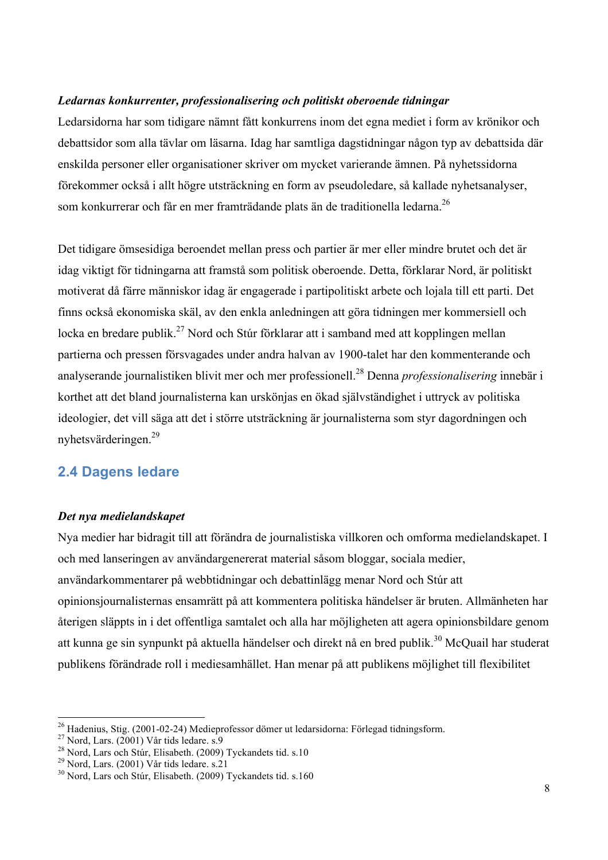#### *Ledarnas konkurrenter, professionalisering och politiskt oberoende tidningar*

Ledarsidorna har som tidigare nämnt fått konkurrens inom det egna mediet i form av krönikor och debattsidor som alla tävlar om läsarna. Idag har samtliga dagstidningar någon typ av debattsida där enskilda personer eller organisationer skriver om mycket varierande ämnen. På nyhetssidorna förekommer också i allt högre utsträckning en form av pseudoledare, så kallade nyhetsanalyser, som konkurrerar och får en mer framträdande plats än de traditionella ledarna.<sup>26</sup>

Det tidigare ömsesidiga beroendet mellan press och partier är mer eller mindre brutet och det är idag viktigt för tidningarna att framstå som politisk oberoende. Detta, förklarar Nord, är politiskt motiverat då färre människor idag är engagerade i partipolitiskt arbete och lojala till ett parti. Det finns också ekonomiska skäl, av den enkla anledningen att göra tidningen mer kommersiell och locka en bredare publik.<sup>27</sup> Nord och Stúr förklarar att i samband med att kopplingen mellan partierna och pressen försvagades under andra halvan av 1900-talet har den kommenterande och analyserande journalistiken blivit mer och mer professionell.<sup>28</sup> Denna *professionalisering* innebär i korthet att det bland journalisterna kan urskönjas en ökad självständighet i uttryck av politiska ideologier, det vill säga att det i större utsträckning är journalisterna som styr dagordningen och nyhetsvärderingen.<sup>29</sup>

# **2.4 Dagens ledare**

#### *Det nya medielandskapet*

Nya medier har bidragit till att förändra de journalistiska villkoren och omforma medielandskapet. I och med lanseringen av användargenererat material såsom bloggar, sociala medier, användarkommentarer på webbtidningar och debattinlägg menar Nord och Stúr att opinionsjournalisternas ensamrätt på att kommentera politiska händelser är bruten. Allmänheten har återigen släppts in i det offentliga samtalet och alla har möjligheten att agera opinionsbildare genom att kunna ge sin synpunkt på aktuella händelser och direkt nå en bred publik.<sup>30</sup> McQuail har studerat publikens förändrade roll i mediesamhället. Han menar på att publikens möjlighet till flexibilitet

<sup>&</sup>lt;sup>26</sup> Hadenius, Stig. (2001-02-24) Medieprofessor dömer ut ledarsidorna: Förlegad tidningsform.<br><sup>27</sup> Nord, Lars. (2001) Vår tids ledare. s.9<br><sup>28</sup> Nord, Lars och Stúr, Elisabeth. (2009) Tyckandets tid. s.10<br><sup>29</sup> Nord, Lars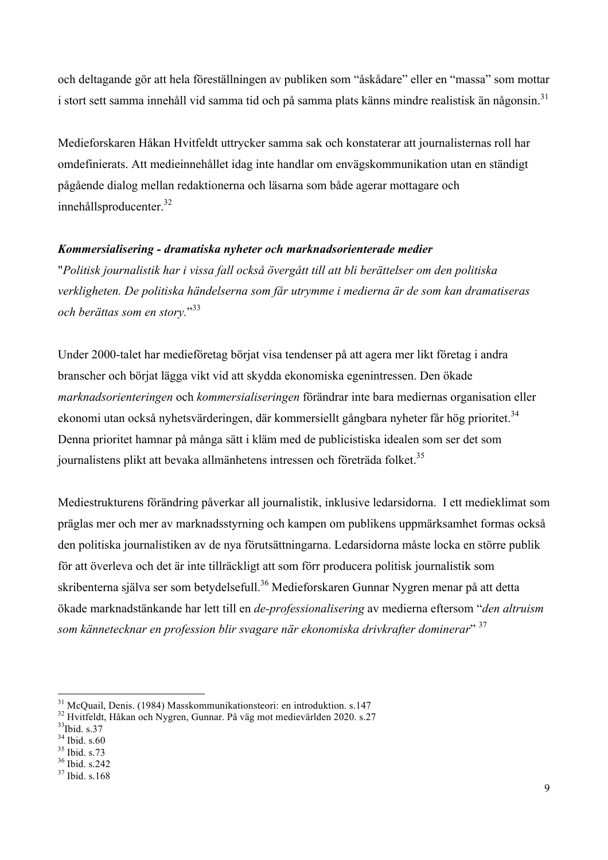och deltagande gör att hela föreställningen av publiken som "åskådare" eller en "massa" som mottar i stort sett samma innehåll vid samma tid och på samma plats känns mindre realistisk än någonsin.<sup>31</sup>

Medieforskaren Håkan Hvitfeldt uttrycker samma sak och konstaterar att journalisternas roll har omdefinierats. Att medieinnehållet idag inte handlar om envägskommunikation utan en ständigt pågående dialog mellan redaktionerna och läsarna som både agerar mottagare och innehållsproducenter.<sup>32</sup>

#### *Kommersialisering - dramatiska nyheter och marknadsorienterade medier*

"*Politisk journalistik har i vissa fall också övergått till att bli berättelser om den politiska verkligheten. De politiska händelserna som får utrymme i medierna är de som kan dramatiseras och berättas som en story.*" 33

Under 2000-talet har medieföretag börjat visa tendenser på att agera mer likt företag i andra branscher och börjat lägga vikt vid att skydda ekonomiska egenintressen. Den ökade *marknadsorienteringen* och *kommersialiseringen* förändrar inte bara mediernas organisation eller ekonomi utan också nyhetsvärderingen, där kommersiellt gångbara nyheter får hög prioritet.<sup>34</sup> Denna prioritet hamnar på många sätt i kläm med de publicistiska idealen som ser det som journalistens plikt att bevaka allmänhetens intressen och företräda folket.<sup>35</sup>

Mediestrukturens förändring påverkar all journalistik, inklusive ledarsidorna. I ett medieklimat som präglas mer och mer av marknadsstyrning och kampen om publikens uppmärksamhet formas också den politiska journalistiken av de nya förutsättningarna. Ledarsidorna måste locka en större publik för att överleva och det är inte tillräckligt att som förr producera politisk journalistik som skribenterna själva ser som betydelsefull.<sup>36</sup> Medieforskaren Gunnar Nygren menar på att detta ökade marknadstänkande har lett till en *de-professionalisering* av medierna eftersom "*den altruism som kännetecknar en profession blir svagare när ekonomiska drivkrafter dominerar*" 37

<sup>&</sup>lt;sup>31</sup> McQuail, Denis. (1984) Masskommunikationsteori: en introduktion. s.147<br><sup>32</sup> Hvitfeldt, Håkan och Nygren, Gunnar. På väg mot medievärlden 2020. s.27<br><sup>33</sup>Ibid. s.37<br><sup>34</sup> Ibid. s.60

 $\frac{35}{36}$  Ibid. s.73<br> $\frac{36}{37}$  Ibid. s.168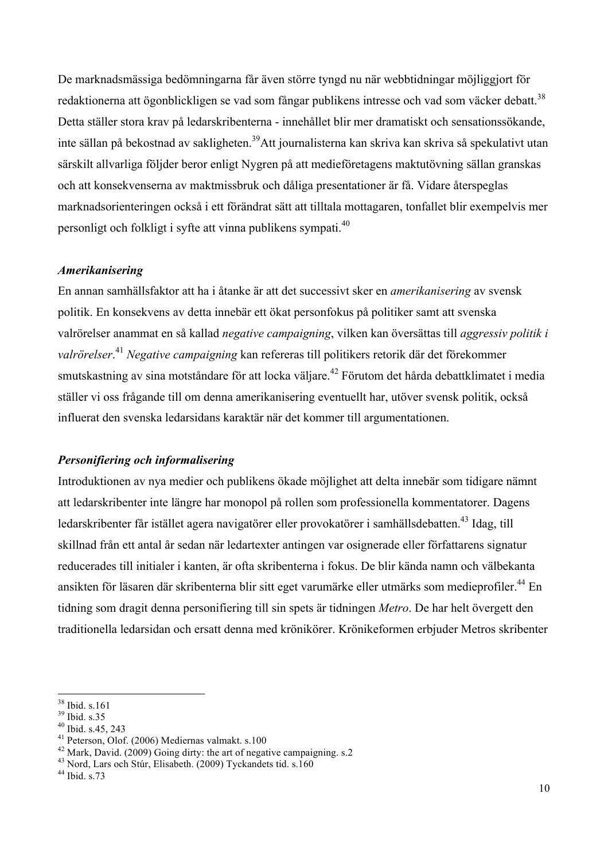De marknadsmässiga bedömningarna får även större tyngd nu när webbtidningar möjliggjort för redaktionerna att ögonblickligen se vad som fångar publikens intresse och vad som väcker debatt.<sup>38</sup> Detta ställer stora krav på ledarskribenterna - innehållet blir mer dramatiskt och sensationssökande, inte sällan på bekostnad av sakligheten.<sup>39</sup>Att journalisterna kan skriva kan skriva så spekulativt utan särskilt allvarliga följder beror enligt Nygren på att medieföretagens maktutövning sällan granskas och att konsekvenserna av maktmissbruk och dåliga presentationer är få. Vidare återspeglas marknadsorienteringen också i ett förändrat sätt att tilltala mottagaren, tonfallet blir exempelvis mer personligt och folkligt i syfte att vinna publikens sympati.<sup>40</sup>

#### *Amerikanisering*

En annan samhällsfaktor att ha i åtanke är att det successivt sker en *amerikanisering* av svensk politik. En konsekvens av detta innebär ett ökat personfokus på politiker samt att svenska valrörelser anammat en så kallad *negative campaigning*, vilken kan översättas till *aggressiv politik i valrörelser*. <sup>41</sup> *Negative campaigning* kan refereras till politikers retorik där det förekommer smutskastning av sina motståndare för att locka väljare.<sup>42</sup> Förutom det hårda debattklimatet i media ställer vi oss frågande till om denna amerikanisering eventuellt har, utöver svensk politik, också influerat den svenska ledarsidans karaktär när det kommer till argumentationen.

#### *Personifiering och informalisering*

Introduktionen av nya medier och publikens ökade möjlighet att delta innebär som tidigare nämnt att ledarskribenter inte längre har monopol på rollen som professionella kommentatorer. Dagens ledarskribenter får istället agera navigatörer eller provokatörer i samhällsdebatten.<sup>43</sup> Idag, till skillnad från ett antal år sedan när ledartexter antingen var osignerade eller författarens signatur reducerades till initialer i kanten, är ofta skribenterna i fokus. De blir kända namn och välbekanta ansikten för läsaren där skribenterna blir sitt eget varumärke eller utmärks som medieprofiler.<sup>44</sup> En tidning som dragit denna personifiering till sin spets är tidningen *Metro*. De har helt övergett den traditionella ledarsidan och ersatt denna med krönikörer. Krönikeformen erbjuder Metros skribenter

<sup>&</sup>lt;sup>38</sup> Ibid. s.161<br><sup>39</sup> Ibid. s.35<br><sup>40</sup> Ibid. s.45, 243<br><sup>41</sup> Peterson, Olof. (2006) Mediernas valmakt. s.100<br><sup>42</sup> Mark, David. (2009) Going dirty: the art of negative campaigning. s.2<br><sup>43</sup> Nord, Lars och Stúr, Elisabeth. (2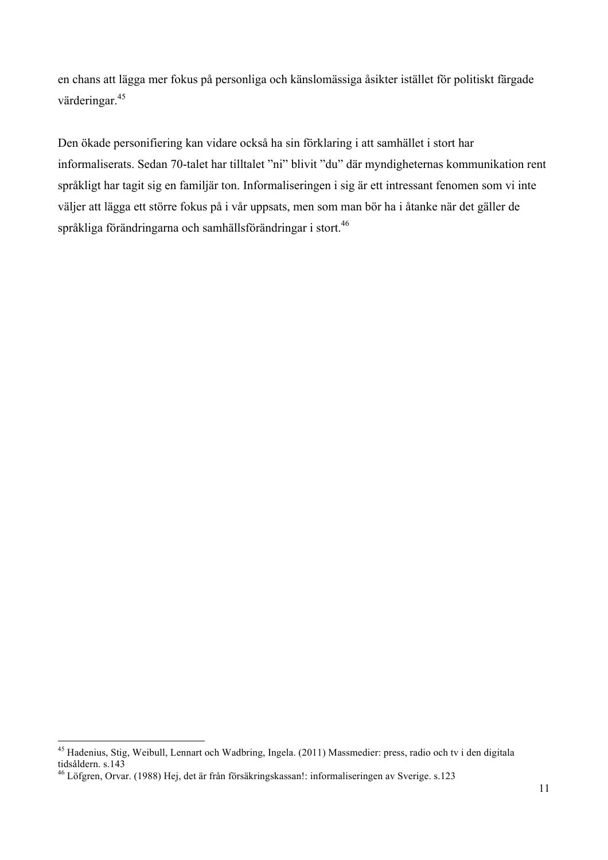en chans att lägga mer fokus på personliga och känslomässiga åsikter istället för politiskt färgade värderingar.<sup>45</sup>

Den ökade personifiering kan vidare också ha sin förklaring i att samhället i stort har informaliserats. Sedan 70-talet har tilltalet "ni" blivit "du" där myndigheternas kommunikation rent språkligt har tagit sig en familjär ton. Informaliseringen i sig är ett intressant fenomen som vi inte väljer att lägga ett större fokus på i vår uppsats, men som man bör ha i åtanke när det gäller de språkliga förändringarna och samhällsförändringar i stort.<sup>46</sup>

 <sup>45</sup> Hadenius, Stig, Weibull, Lennart och Wadbring, Ingela. (2011) Massmedier: press, radio och tv i den digitala tidsåldern. s.143

<sup>46</sup> Löfgren, Orvar. (1988) Hej, det är från försäkringskassan!: informaliseringen av Sverige. s.123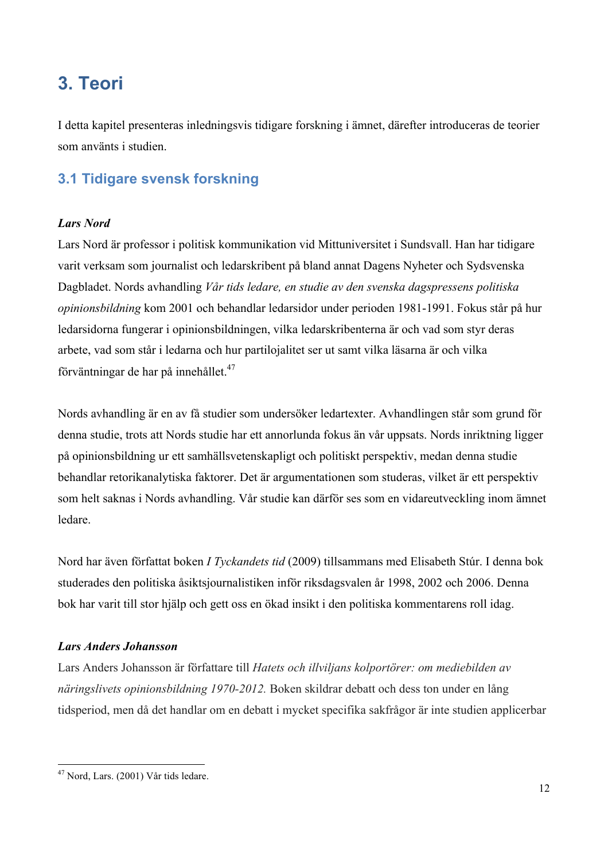# **3. Teori**

I detta kapitel presenteras inledningsvis tidigare forskning i ämnet, därefter introduceras de teorier som använts i studien.

# **3.1 Tidigare svensk forskning**

#### *Lars Nord*

Lars Nord är professor i politisk kommunikation vid Mittuniversitet i Sundsvall. Han har tidigare varit verksam som journalist och ledarskribent på bland annat Dagens Nyheter och Sydsvenska Dagbladet. Nords avhandling *Vår tids ledare, en studie av den svenska dagspressens politiska opinionsbildning* kom 2001 och behandlar ledarsidor under perioden 1981-1991. Fokus står på hur ledarsidorna fungerar i opinionsbildningen, vilka ledarskribenterna är och vad som styr deras arbete, vad som står i ledarna och hur partilojalitet ser ut samt vilka läsarna är och vilka förväntningar de har på innehållet.<sup>47</sup>

Nords avhandling är en av få studier som undersöker ledartexter. Avhandlingen står som grund för denna studie, trots att Nords studie har ett annorlunda fokus än vår uppsats. Nords inriktning ligger på opinionsbildning ur ett samhällsvetenskapligt och politiskt perspektiv, medan denna studie behandlar retorikanalytiska faktorer. Det är argumentationen som studeras, vilket är ett perspektiv som helt saknas i Nords avhandling. Vår studie kan därför ses som en vidareutveckling inom ämnet ledare.

Nord har även författat boken *I Tyckandets tid* (2009) tillsammans med Elisabeth Stúr. I denna bok studerades den politiska åsiktsjournalistiken inför riksdagsvalen år 1998, 2002 och 2006. Denna bok har varit till stor hjälp och gett oss en ökad insikt i den politiska kommentarens roll idag.

#### *Lars Anders Johansson*

Lars Anders Johansson är författare till *Hatets och illviljans kolportörer: om mediebilden av näringslivets opinionsbildning 1970-2012.* Boken skildrar debatt och dess ton under en lång tidsperiod, men då det handlar om en debatt i mycket specifika sakfrågor är inte studien applicerbar

 <sup>47</sup> Nord, Lars. (2001) Vår tids ledare.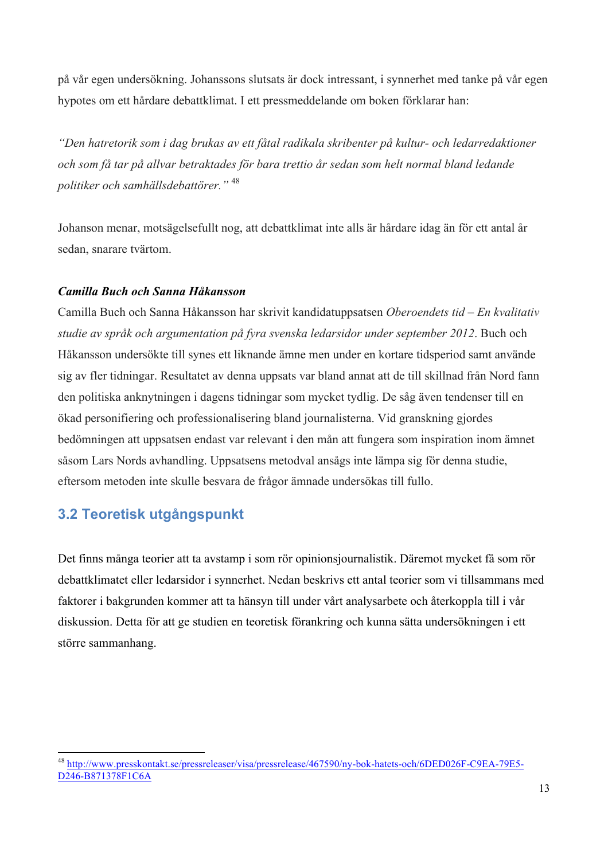på vår egen undersökning. Johanssons slutsats är dock intressant, i synnerhet med tanke på vår egen hypotes om ett hårdare debattklimat. I ett pressmeddelande om boken förklarar han:

*"Den hatretorik som i dag brukas av ett fåtal radikala skribenter på kultur- och ledarredaktioner och som få tar på allvar betraktades för bara trettio år sedan som helt normal bland ledande politiker och samhällsdebattörer."* <sup>48</sup>

Johanson menar, motsägelsefullt nog, att debattklimat inte alls är hårdare idag än för ett antal år sedan, snarare tvärtom.

#### *Camilla Buch och Sanna Håkansson*

Camilla Buch och Sanna Håkansson har skrivit kandidatuppsatsen *Oberoendets tid – En kvalitativ studie av språk och argumentation på fyra svenska ledarsidor under september 2012*. Buch och Håkansson undersökte till synes ett liknande ämne men under en kortare tidsperiod samt använde sig av fler tidningar. Resultatet av denna uppsats var bland annat att de till skillnad från Nord fann den politiska anknytningen i dagens tidningar som mycket tydlig. De såg även tendenser till en ökad personifiering och professionalisering bland journalisterna. Vid granskning gjordes bedömningen att uppsatsen endast var relevant i den mån att fungera som inspiration inom ämnet såsom Lars Nords avhandling. Uppsatsens metodval ansågs inte lämpa sig för denna studie, eftersom metoden inte skulle besvara de frågor ämnade undersökas till fullo.

# **3.2 Teoretisk utgångspunkt**

Det finns många teorier att ta avstamp i som rör opinionsjournalistik. Däremot mycket få som rör debattklimatet eller ledarsidor i synnerhet. Nedan beskrivs ett antal teorier som vi tillsammans med faktorer i bakgrunden kommer att ta hänsyn till under vårt analysarbete och återkoppla till i vår diskussion. Detta för att ge studien en teoretisk förankring och kunna sätta undersökningen i ett större sammanhang.

 <sup>48</sup> http://www.presskontakt.se/pressreleaser/visa/pressrelease/467590/ny-bok-hatets-och/6DED026F-C9EA-79E5- D246-B871378F1C6A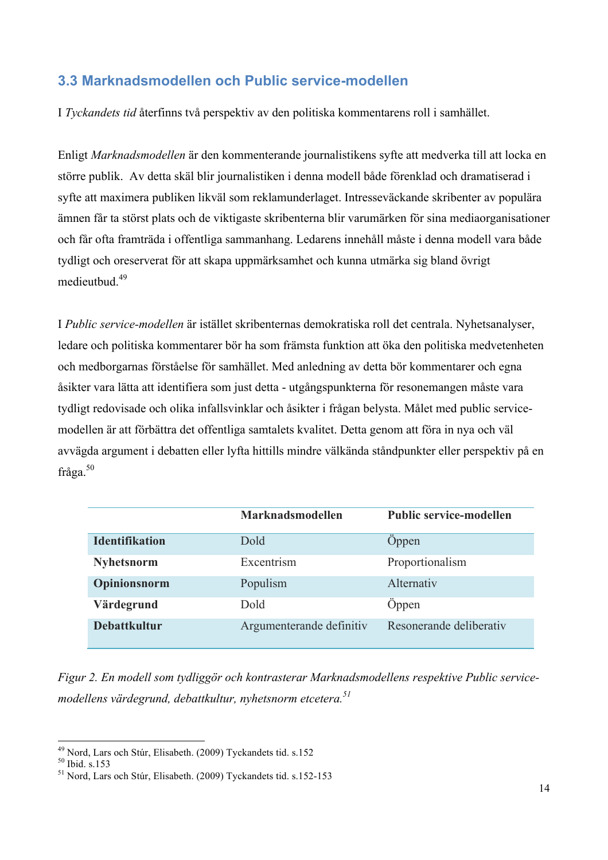# **3.3 Marknadsmodellen och Public service-modellen**

I *Tyckandets tid* återfinns två perspektiv av den politiska kommentarens roll i samhället.

Enligt *Marknadsmodellen* är den kommenterande journalistikens syfte att medverka till att locka en större publik. Av detta skäl blir journalistiken i denna modell både förenklad och dramatiserad i syfte att maximera publiken likväl som reklamunderlaget. Intresseväckande skribenter av populära ämnen får ta störst plats och de viktigaste skribenterna blir varumärken för sina mediaorganisationer och får ofta framträda i offentliga sammanhang. Ledarens innehåll måste i denna modell vara både tydligt och oreserverat för att skapa uppmärksamhet och kunna utmärka sig bland övrigt medieutbud.<sup>49</sup>

I *Public service-modellen* är istället skribenternas demokratiska roll det centrala. Nyhetsanalyser, ledare och politiska kommentarer bör ha som främsta funktion att öka den politiska medvetenheten och medborgarnas förståelse för samhället. Med anledning av detta bör kommentarer och egna åsikter vara lätta att identifiera som just detta - utgångspunkterna för resonemangen måste vara tydligt redovisade och olika infallsvinklar och åsikter i frågan belysta. Målet med public servicemodellen är att förbättra det offentliga samtalets kvalitet. Detta genom att föra in nya och väl avvägda argument i debatten eller lyfta hittills mindre välkända ståndpunkter eller perspektiv på en fråga.<sup>50</sup>

|                       | <b>Marknadsmodellen</b>  | <b>Public service-modellen</b> |
|-----------------------|--------------------------|--------------------------------|
| <b>Identifikation</b> | <b>Dold</b>              | <b>Oppen</b>                   |
| <b>Nyhetsnorm</b>     | Excentrism               | Proportionalism                |
| Opinionsnorm          | Populism                 | Alternativ                     |
| Värdegrund            | Dold                     | Oppen                          |
| <b>Debattkultur</b>   | Argumenterande definitiv | Resonerande deliberativ        |

*Figur 2. En modell som tydliggör och kontrasterar Marknadsmodellens respektive Public servicemodellens värdegrund, debattkultur, nyhetsnorm etcetera.51*

<sup>&</sup>lt;sup>49</sup> Nord, Lars och Stúr, Elisabeth. (2009) Tyckandets tid. s.152<br><sup>50</sup> Ibid. s.153<br><sup>51</sup> Nord, Lars och Stúr, Elisabeth. (2009) Tyckandets tid. s.152-153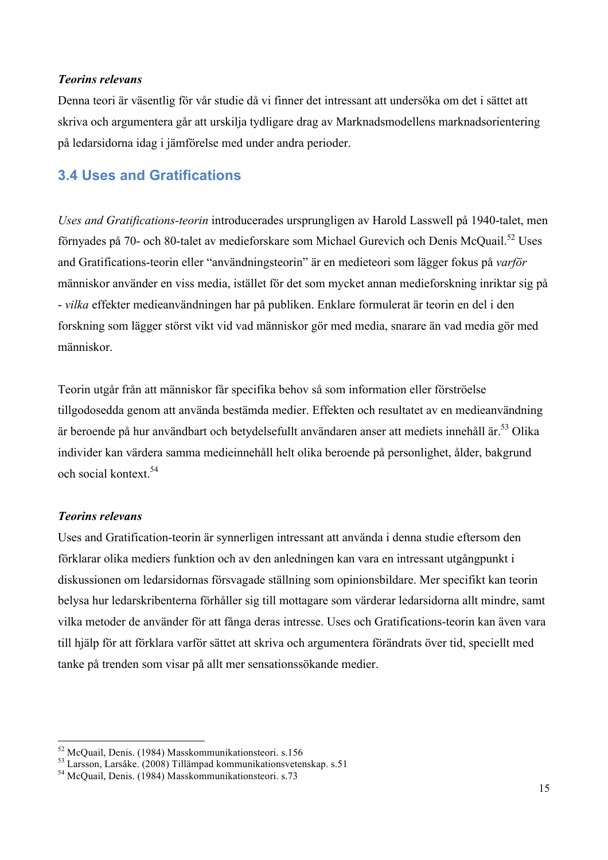#### *Teorins relevans*

Denna teori är väsentlig för vår studie då vi finner det intressant att undersöka om det i sättet att skriva och argumentera går att urskilja tydligare drag av Marknadsmodellens marknadsorientering på ledarsidorna idag i jämförelse med under andra perioder.

# **3.4 Uses and Gratifications**

*Uses and Gratifications-teorin* introducerades ursprungligen av Harold Lasswell på 1940-talet, men förnyades på 70- och 80-talet av medieforskare som Michael Gurevich och Denis McQuail.52 Uses and Gratifications-teorin eller "användningsteorin" är en medieteori som lägger fokus på *varför*  människor använder en viss media, istället för det som mycket annan medieforskning inriktar sig på - *vilka* effekter medieanvändningen har på publiken. Enklare formulerat är teorin en del i den forskning som lägger störst vikt vid vad människor gör med media, snarare än vad media gör med människor.

Teorin utgår från att människor får specifika behov så som information eller förströelse tillgodosedda genom att använda bestämda medier. Effekten och resultatet av en medieanvändning är beroende på hur användbart och betydelsefullt användaren anser att mediets innehåll är.<sup>53</sup> Olika individer kan värdera samma medieinnehåll helt olika beroende på personlighet, ålder, bakgrund och social kontext<sup>54</sup>

#### *Teorins relevans*

Uses and Gratification-teorin är synnerligen intressant att använda i denna studie eftersom den förklarar olika mediers funktion och av den anledningen kan vara en intressant utgångpunkt i diskussionen om ledarsidornas försvagade ställning som opinionsbildare. Mer specifikt kan teorin belysa hur ledarskribenterna förhåller sig till mottagare som värderar ledarsidorna allt mindre, samt vilka metoder de använder för att fånga deras intresse. Uses och Gratifications-teorin kan även vara till hjälp för att förklara varför sättet att skriva och argumentera förändrats över tid, speciellt med tanke på trenden som visar på allt mer sensationssökande medier.

<sup>&</sup>lt;sup>52</sup> McQuail, Denis. (1984) Masskommunikationsteori. s.156<br><sup>53</sup> Larsson, Larsåke. (2008) Tillämpad kommunikationsvetenskap. s.51<br><sup>54</sup> McQuail, Denis. (1984) Masskommunikationsteori. s.73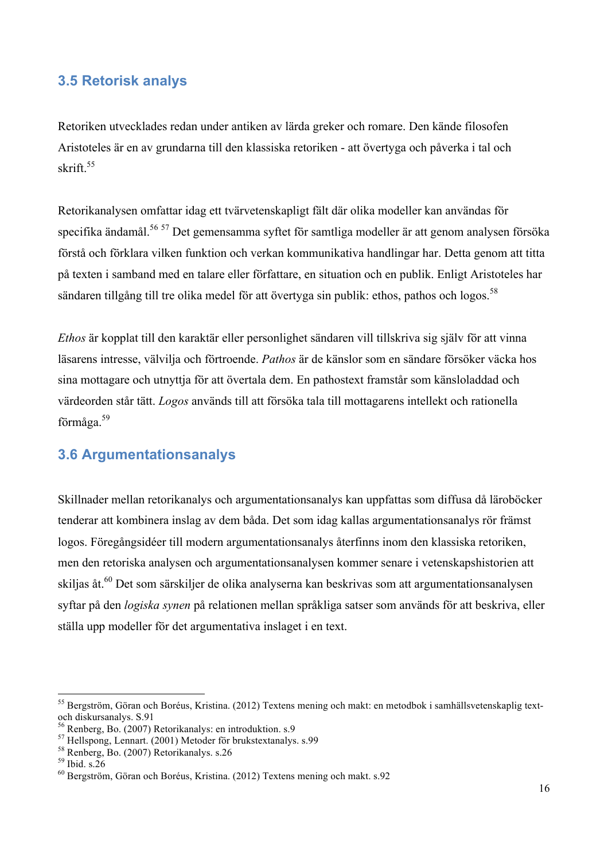### **3.5 Retorisk analys**

Retoriken utvecklades redan under antiken av lärda greker och romare. Den kände filosofen Aristoteles är en av grundarna till den klassiska retoriken - att övertyga och påverka i tal och skrift.<sup>55</sup>

Retorikanalysen omfattar idag ett tvärvetenskapligt fält där olika modeller kan användas för specifika ändamål.<sup>56 57</sup> Det gemensamma syftet för samtliga modeller är att genom analysen försöka förstå och förklara vilken funktion och verkan kommunikativa handlingar har. Detta genom att titta på texten i samband med en talare eller författare, en situation och en publik. Enligt Aristoteles har sändaren tillgång till tre olika medel för att övertyga sin publik: ethos, pathos och logos.<sup>58</sup>

*Ethos* är kopplat till den karaktär eller personlighet sändaren vill tillskriva sig själv för att vinna läsarens intresse, välvilja och förtroende. *Pathos* är de känslor som en sändare försöker väcka hos sina mottagare och utnyttja för att övertala dem. En pathostext framstår som känsloladdad och värdeorden står tätt. *Logos* används till att försöka tala till mottagarens intellekt och rationella förmåga.59

### **3.6 Argumentationsanalys**

Skillnader mellan retorikanalys och argumentationsanalys kan uppfattas som diffusa då läroböcker tenderar att kombinera inslag av dem båda. Det som idag kallas argumentationsanalys rör främst logos. Föregångsidéer till modern argumentationsanalys återfinns inom den klassiska retoriken, men den retoriska analysen och argumentationsanalysen kommer senare i vetenskapshistorien att skiljas åt.<sup>60</sup> Det som särskiljer de olika analyserna kan beskrivas som att argumentationsanalysen syftar på den *logiska synen* på relationen mellan språkliga satser som används för att beskriva, eller ställa upp modeller för det argumentativa inslaget i en text.

 <sup>55</sup> Bergström, Göran och Boréus, Kristina. (2012) Textens mening och makt: en metodbok i samhällsvetenskaplig textoch diskursanalys. S.91<br><sup>56</sup> Renberg, Bo. (2007) Retorikanalys: en introduktion. s.9

<sup>&</sup>lt;sup>57</sup> Hellspong, Lennart. (2001) Metoder för brukstextanalys. s.99<br><sup>58</sup> Renberg, Bo. (2007) Retorikanalys. s.26<br><sup>59</sup> Ibid. s.26<br><sup>60</sup> Bergström, Göran och Boréus, Kristina. (2012) Textens mening och makt. s.92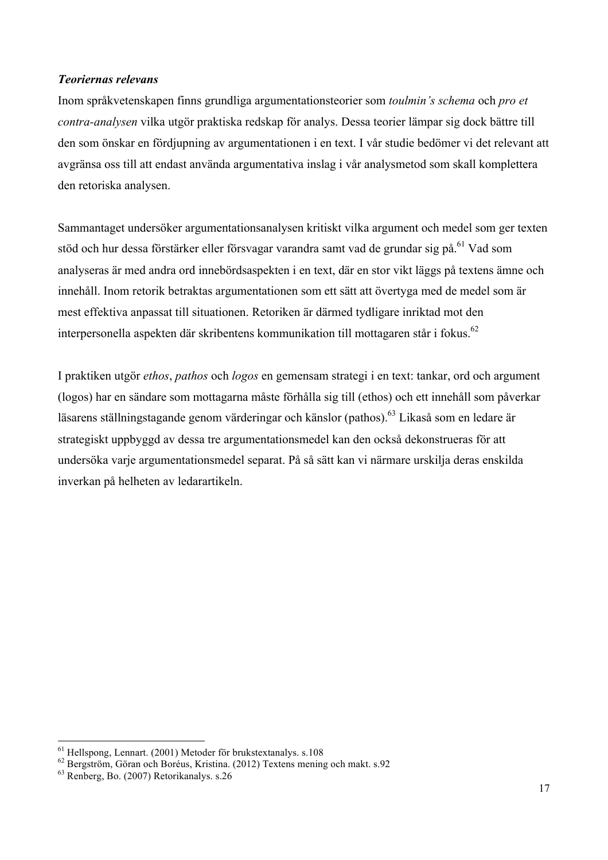#### *Teoriernas relevans*

Inom språkvetenskapen finns grundliga argumentationsteorier som *toulmin's schema* och *pro et contra-analysen* vilka utgör praktiska redskap för analys. Dessa teorier lämpar sig dock bättre till den som önskar en fördjupning av argumentationen i en text. I vår studie bedömer vi det relevant att avgränsa oss till att endast använda argumentativa inslag i vår analysmetod som skall komplettera den retoriska analysen.

Sammantaget undersöker argumentationsanalysen kritiskt vilka argument och medel som ger texten stöd och hur dessa förstärker eller försvagar varandra samt vad de grundar sig på.<sup>61</sup> Vad som analyseras är med andra ord innebördsaspekten i en text, där en stor vikt läggs på textens ämne och innehåll. Inom retorik betraktas argumentationen som ett sätt att övertyga med de medel som är mest effektiva anpassat till situationen. Retoriken är därmed tydligare inriktad mot den interpersonella aspekten där skribentens kommunikation till mottagaren står i fokus.<sup>62</sup>

I praktiken utgör *ethos*, *pathos* och *logos* en gemensam strategi i en text: tankar, ord och argument (logos) har en sändare som mottagarna måste förhålla sig till (ethos) och ett innehåll som påverkar läsarens ställningstagande genom värderingar och känslor (pathos).<sup>63</sup> Likaså som en ledare är strategiskt uppbyggd av dessa tre argumentationsmedel kan den också dekonstrueras för att undersöka varje argumentationsmedel separat. På så sätt kan vi närmare urskilja deras enskilda inverkan på helheten av ledarartikeln.

<sup>&</sup>lt;sup>61</sup> Hellspong, Lennart. (2001) Metoder för brukstextanalys. s.108<br><sup>62</sup> Bergström, Göran och Boréus, Kristina. (2012) Textens mening och makt. s.92<br><sup>63</sup> Renberg, Bo. (2007) Retorikanalys. s.26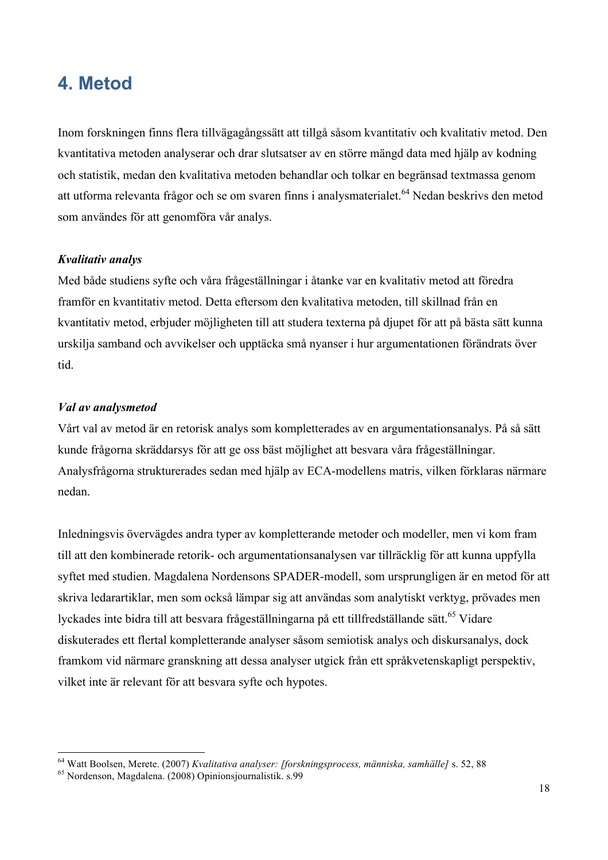# **4. Metod**

Inom forskningen finns flera tillvägagångssätt att tillgå såsom kvantitativ och kvalitativ metod. Den kvantitativa metoden analyserar och drar slutsatser av en större mängd data med hjälp av kodning och statistik, medan den kvalitativa metoden behandlar och tolkar en begränsad textmassa genom att utforma relevanta frågor och se om svaren finns i analysmaterialet.<sup>64</sup> Nedan beskrivs den metod som användes för att genomföra vår analys.

#### *Kvalitativ analys*

Med både studiens syfte och våra frågeställningar i åtanke var en kvalitativ metod att föredra framför en kvantitativ metod. Detta eftersom den kvalitativa metoden, till skillnad från en kvantitativ metod, erbjuder möjligheten till att studera texterna på djupet för att på bästa sätt kunna urskilja samband och avvikelser och upptäcka små nyanser i hur argumentationen förändrats över tid.

#### *Val av analysmetod*

Vårt val av metod är en retorisk analys som kompletterades av en argumentationsanalys. På så sätt kunde frågorna skräddarsys för att ge oss bäst möjlighet att besvara våra frågeställningar. Analysfrågorna strukturerades sedan med hjälp av ECA-modellens matris, vilken förklaras närmare nedan.

Inledningsvis övervägdes andra typer av kompletterande metoder och modeller, men vi kom fram till att den kombinerade retorik- och argumentationsanalysen var tillräcklig för att kunna uppfylla syftet med studien. Magdalena Nordensons SPADER-modell, som ursprungligen är en metod för att skriva ledarartiklar, men som också lämpar sig att användas som analytiskt verktyg, prövades men lyckades inte bidra till att besvara frågeställningarna på ett tillfredställande sätt.<sup>65</sup> Vidare diskuterades ett flertal kompletterande analyser såsom semiotisk analys och diskursanalys, dock framkom vid närmare granskning att dessa analyser utgick från ett språkvetenskapligt perspektiv, vilket inte är relevant för att besvara syfte och hypotes.

<sup>&</sup>lt;sup>64</sup> Watt Boolsen, Merete. (2007) *Kvalitativa analyser: [forskningsprocess, människa, samhälle]* s. 52, 88 <sup>65</sup> Nordenson, Magdalena. (2008) Opinionsjournalistik. s.99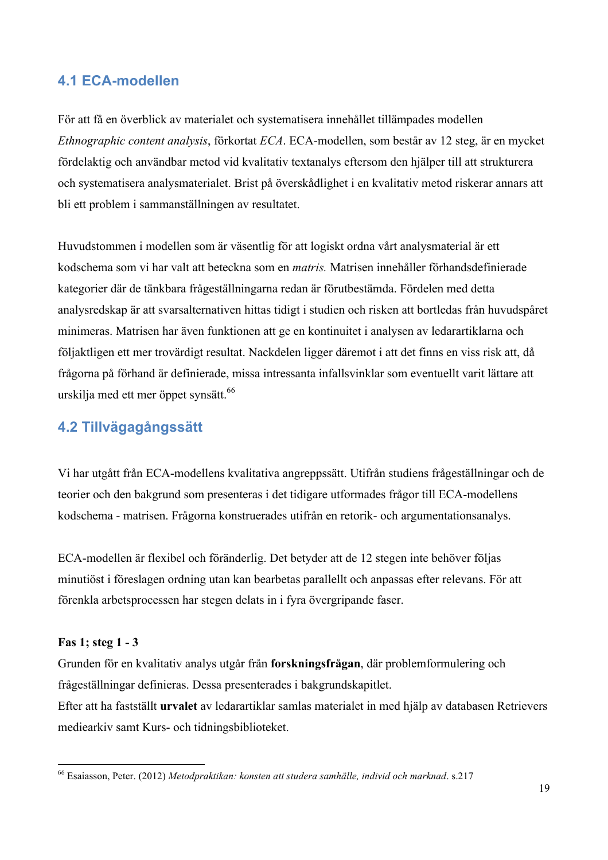# **4.1 ECA-modellen**

För att få en överblick av materialet och systematisera innehållet tillämpades modellen *Ethnographic content analysis*, förkortat *ECA*. ECA-modellen, som består av 12 steg, är en mycket fördelaktig och användbar metod vid kvalitativ textanalys eftersom den hjälper till att strukturera och systematisera analysmaterialet. Brist på överskådlighet i en kvalitativ metod riskerar annars att bli ett problem i sammanställningen av resultatet.

Huvudstommen i modellen som är väsentlig för att logiskt ordna vårt analysmaterial är ett kodschema som vi har valt att beteckna som en *matris.* Matrisen innehåller förhandsdefinierade kategorier där de tänkbara frågeställningarna redan är förutbestämda. Fördelen med detta analysredskap är att svarsalternativen hittas tidigt i studien och risken att bortledas från huvudspåret minimeras. Matrisen har även funktionen att ge en kontinuitet i analysen av ledarartiklarna och följaktligen ett mer trovärdigt resultat. Nackdelen ligger däremot i att det finns en viss risk att, då frågorna på förhand är definierade, missa intressanta infallsvinklar som eventuellt varit lättare att urskilja med ett mer öppet synsätt.<sup>66</sup>

# **4.2 Tillvägagångssätt**

Vi har utgått från ECA-modellens kvalitativa angreppssätt. Utifrån studiens frågeställningar och de teorier och den bakgrund som presenteras i det tidigare utformades frågor till ECA-modellens kodschema - matrisen. Frågorna konstruerades utifrån en retorik- och argumentationsanalys.

ECA-modellen är flexibel och föränderlig. Det betyder att de 12 stegen inte behöver följas minutiöst i föreslagen ordning utan kan bearbetas parallellt och anpassas efter relevans. För att förenkla arbetsprocessen har stegen delats in i fyra övergripande faser.

#### **Fas 1; steg 1 - 3**

Grunden för en kvalitativ analys utgår från **forskningsfrågan**, där problemformulering och frågeställningar definieras. Dessa presenterades i bakgrundskapitlet. Efter att ha fastställt **urvalet** av ledarartiklar samlas materialet in med hjälp av databasen Retrievers mediearkiv samt Kurs- och tidningsbiblioteket.

 <sup>66</sup> Esaiasson, Peter. (2012) *Metodpraktikan: konsten att studera samhälle, individ och marknad*. s.217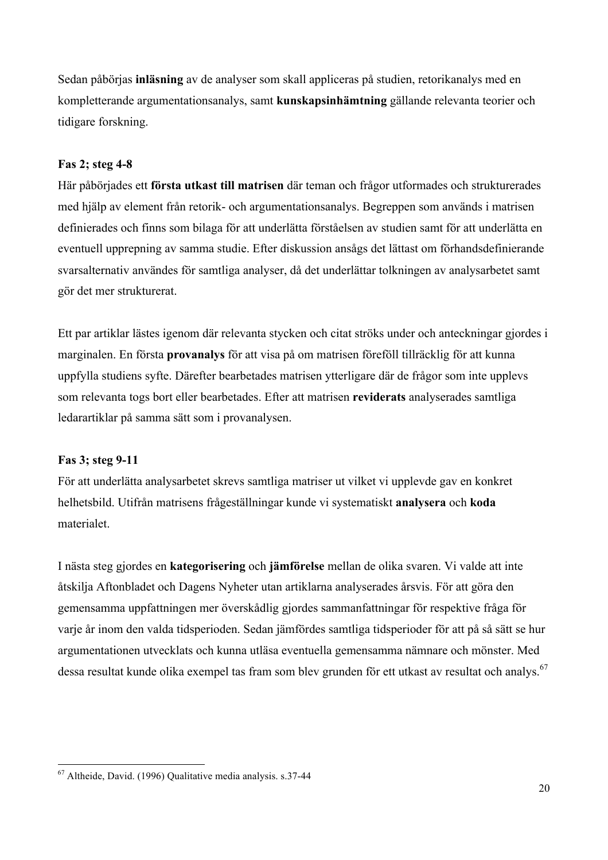Sedan påbörjas **inläsning** av de analyser som skall appliceras på studien, retorikanalys med en kompletterande argumentationsanalys, samt **kunskapsinhämtning** gällande relevanta teorier och tidigare forskning.

#### **Fas 2; steg 4-8**

Här påbörjades ett **första utkast till matrisen** där teman och frågor utformades och strukturerades med hjälp av element från retorik- och argumentationsanalys. Begreppen som används i matrisen definierades och finns som bilaga för att underlätta förståelsen av studien samt för att underlätta en eventuell upprepning av samma studie. Efter diskussion ansågs det lättast om förhandsdefinierande svarsalternativ användes för samtliga analyser, då det underlättar tolkningen av analysarbetet samt gör det mer strukturerat.

Ett par artiklar lästes igenom där relevanta stycken och citat ströks under och anteckningar gjordes i marginalen. En första **provanalys** för att visa på om matrisen föreföll tillräcklig för att kunna uppfylla studiens syfte. Därefter bearbetades matrisen ytterligare där de frågor som inte upplevs som relevanta togs bort eller bearbetades. Efter att matrisen **reviderats** analyserades samtliga ledarartiklar på samma sätt som i provanalysen.

#### **Fas 3; steg 9-11**

För att underlätta analysarbetet skrevs samtliga matriser ut vilket vi upplevde gav en konkret helhetsbild. Utifrån matrisens frågeställningar kunde vi systematiskt **analysera** och **koda** materialet.

I nästa steg gjordes en **kategorisering** och **jämförelse** mellan de olika svaren. Vi valde att inte åtskilja Aftonbladet och Dagens Nyheter utan artiklarna analyserades årsvis. För att göra den gemensamma uppfattningen mer överskådlig gjordes sammanfattningar för respektive fråga för varje år inom den valda tidsperioden. Sedan jämfördes samtliga tidsperioder för att på så sätt se hur argumentationen utvecklats och kunna utläsa eventuella gemensamma nämnare och mönster. Med dessa resultat kunde olika exempel tas fram som blev grunden för ett utkast av resultat och analys.<sup>67</sup>

 <sup>67</sup> Altheide, David. (1996) Qualitative media analysis. s.37-44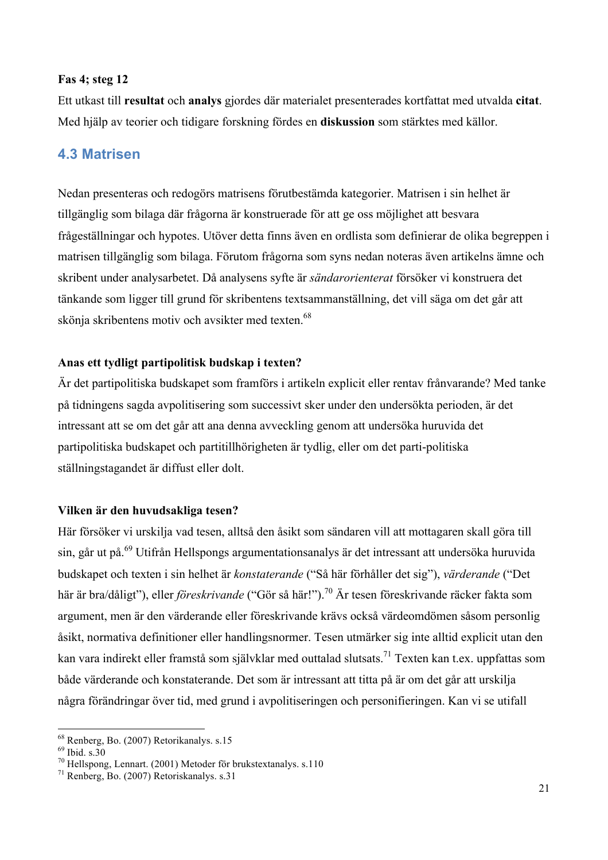#### **Fas 4; steg 12**

Ett utkast till **resultat** och **analys** gjordes där materialet presenterades kortfattat med utvalda **citat**. Med hjälp av teorier och tidigare forskning fördes en **diskussion** som stärktes med källor.

### **4.3 Matrisen**

Nedan presenteras och redogörs matrisens förutbestämda kategorier. Matrisen i sin helhet är tillgänglig som bilaga där frågorna är konstruerade för att ge oss möjlighet att besvara frågeställningar och hypotes. Utöver detta finns även en ordlista som definierar de olika begreppen i matrisen tillgänglig som bilaga. Förutom frågorna som syns nedan noteras även artikelns ämne och skribent under analysarbetet. Då analysens syfte är *sändarorienterat* försöker vi konstruera det tänkande som ligger till grund för skribentens textsammanställning, det vill säga om det går att skönja skribentens motiv och avsikter med texten.<sup>68</sup>

#### **Anas ett tydligt partipolitisk budskap i texten?**

Är det partipolitiska budskapet som framförs i artikeln explicit eller rentav frånvarande? Med tanke på tidningens sagda avpolitisering som successivt sker under den undersökta perioden, är det intressant att se om det går att ana denna avveckling genom att undersöka huruvida det partipolitiska budskapet och partitillhörigheten är tydlig, eller om det parti-politiska ställningstagandet är diffust eller dolt.

#### **Vilken är den huvudsakliga tesen?**

Här försöker vi urskilja vad tesen, alltså den åsikt som sändaren vill att mottagaren skall göra till sin, går ut på.<sup>69</sup> Utifrån Hellspongs argumentationsanalys är det intressant att undersöka huruvida budskapet och texten i sin helhet är *konstaterande* ("Så här förhåller det sig"), *värderande* ("Det här är bra/dåligt"), eller *föreskrivande* ("Gör så här!").<sup>70</sup> Är tesen föreskrivande räcker fakta som argument, men är den värderande eller föreskrivande krävs också värdeomdömen såsom personlig åsikt, normativa definitioner eller handlingsnormer. Tesen utmärker sig inte alltid explicit utan den kan vara indirekt eller framstå som självklar med outtalad slutsats.<sup>71</sup> Texten kan t.ex. uppfattas som både värderande och konstaterande. Det som är intressant att titta på är om det går att urskilja några förändringar över tid, med grund i avpolitiseringen och personifieringen. Kan vi se utifall

<sup>&</sup>lt;sup>68</sup> Renberg, Bo. (2007) Retorikanalys. s.15<br><sup>69</sup> Ibid. s.30<br><sup>70</sup> Hellspong, Lennart. (2001) Metoder för brukstextanalys. s.110<br><sup>71</sup> Renberg, Bo. (2007) Retoriskanalys. s.31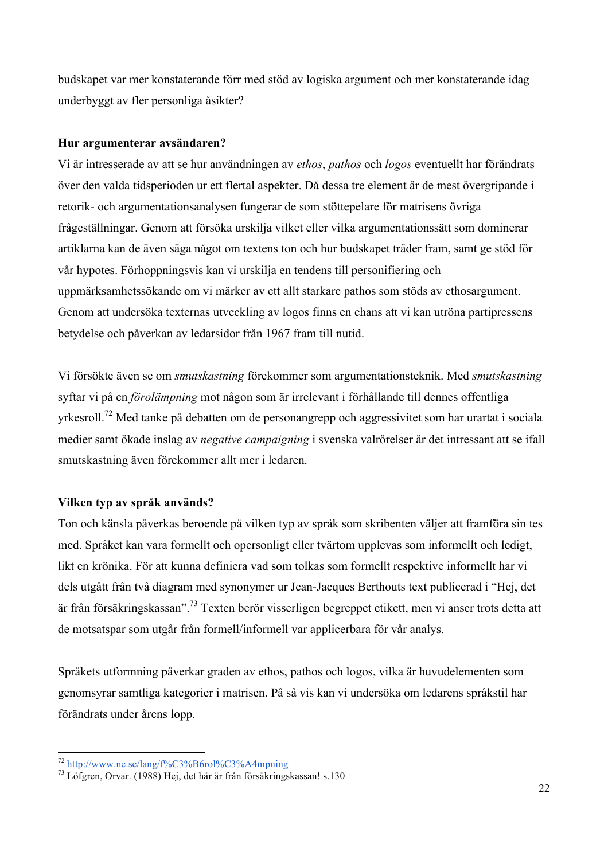budskapet var mer konstaterande förr med stöd av logiska argument och mer konstaterande idag underbyggt av fler personliga åsikter?

#### **Hur argumenterar avsändaren?**

Vi är intresserade av att se hur användningen av *ethos*, *pathos* och *logos* eventuellt har förändrats över den valda tidsperioden ur ett flertal aspekter. Då dessa tre element är de mest övergripande i retorik- och argumentationsanalysen fungerar de som stöttepelare för matrisens övriga frågeställningar. Genom att försöka urskilja vilket eller vilka argumentationssätt som dominerar artiklarna kan de även säga något om textens ton och hur budskapet träder fram, samt ge stöd för vår hypotes. Förhoppningsvis kan vi urskilja en tendens till personifiering och uppmärksamhetssökande om vi märker av ett allt starkare pathos som stöds av ethosargument. Genom att undersöka texternas utveckling av logos finns en chans att vi kan utröna partipressens betydelse och påverkan av ledarsidor från 1967 fram till nutid.

Vi försökte även se om *smutskastning* förekommer som argumentationsteknik. Med *smutskastning* syftar vi på en *förolämpning* mot någon som är irrelevant i förhållande till dennes offentliga yrkesroll.72 Med tanke på debatten om de personangrepp och aggressivitet som har urartat i sociala medier samt ökade inslag av *negative campaigning* i svenska valrörelser är det intressant att se ifall smutskastning även förekommer allt mer i ledaren.

#### **Vilken typ av språk används?**

Ton och känsla påverkas beroende på vilken typ av språk som skribenten väljer att framföra sin tes med. Språket kan vara formellt och opersonligt eller tvärtom upplevas som informellt och ledigt, likt en krönika. För att kunna definiera vad som tolkas som formellt respektive informellt har vi dels utgått från två diagram med synonymer ur Jean-Jacques Berthouts text publicerad i "Hej, det är från försäkringskassan". <sup>73</sup> Texten berör visserligen begreppet etikett, men vi anser trots detta att de motsatspar som utgår från formell/informell var applicerbara för vår analys.

Språkets utformning påverkar graden av ethos, pathos och logos, vilka är huvudelementen som genomsyrar samtliga kategorier i matrisen. På så vis kan vi undersöka om ledarens språkstil har förändrats under årens lopp.

<sup>72</sup> http://www.ne.se/lang/f%C3%B6rol%C3%A4mpning <sup>73</sup> Löfgren, Orvar. (1988) Hej, det här är från försäkringskassan! s.130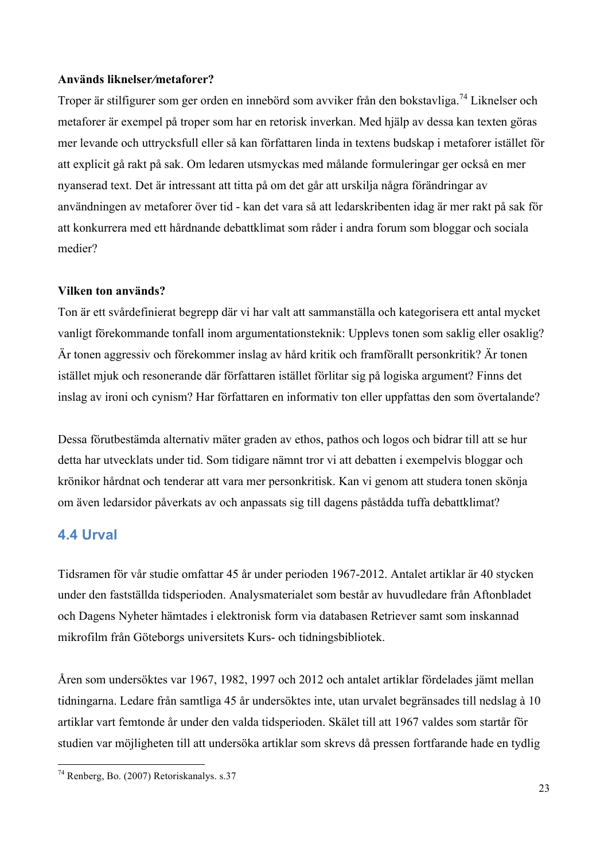#### **Används liknelser***/***metaforer?**

Troper är stilfigurer som ger orden en innebörd som avviker från den bokstavliga.<sup>74</sup> Liknelser och metaforer är exempel på troper som har en retorisk inverkan. Med hjälp av dessa kan texten göras mer levande och uttrycksfull eller så kan författaren linda in textens budskap i metaforer istället för att explicit gå rakt på sak. Om ledaren utsmyckas med målande formuleringar ger också en mer nyanserad text. Det är intressant att titta på om det går att urskilja några förändringar av användningen av metaforer över tid - kan det vara så att ledarskribenten idag är mer rakt på sak för att konkurrera med ett hårdnande debattklimat som råder i andra forum som bloggar och sociala medier?

#### **Vilken ton används?**

Ton är ett svårdefinierat begrepp där vi har valt att sammanställa och kategorisera ett antal mycket vanligt förekommande tonfall inom argumentationsteknik: Upplevs tonen som saklig eller osaklig? Är tonen aggressiv och förekommer inslag av hård kritik och framförallt personkritik? Är tonen istället mjuk och resonerande där författaren istället förlitar sig på logiska argument? Finns det inslag av ironi och cynism? Har författaren en informativ ton eller uppfattas den som övertalande?

Dessa förutbestämda alternativ mäter graden av ethos, pathos och logos och bidrar till att se hur detta har utvecklats under tid. Som tidigare nämnt tror vi att debatten i exempelvis bloggar och krönikor hårdnat och tenderar att vara mer personkritisk. Kan vi genom att studera tonen skönja om även ledarsidor påverkats av och anpassats sig till dagens påstådda tuffa debattklimat?

### **4.4 Urval**

Tidsramen för vår studie omfattar 45 år under perioden 1967-2012. Antalet artiklar är 40 stycken under den fastställda tidsperioden. Analysmaterialet som består av huvudledare från Aftonbladet och Dagens Nyheter hämtades i elektronisk form via databasen Retriever samt som inskannad mikrofilm från Göteborgs universitets Kurs- och tidningsbibliotek.

Åren som undersöktes var 1967, 1982, 1997 och 2012 och antalet artiklar fördelades jämt mellan tidningarna. Ledare från samtliga 45 år undersöktes inte, utan urvalet begränsades till nedslag à 10 artiklar vart femtonde år under den valda tidsperioden. Skälet till att 1967 valdes som startår för studien var möjligheten till att undersöka artiklar som skrevs då pressen fortfarande hade en tydlig

 <sup>74</sup> Renberg, Bo. (2007) Retoriskanalys. s.37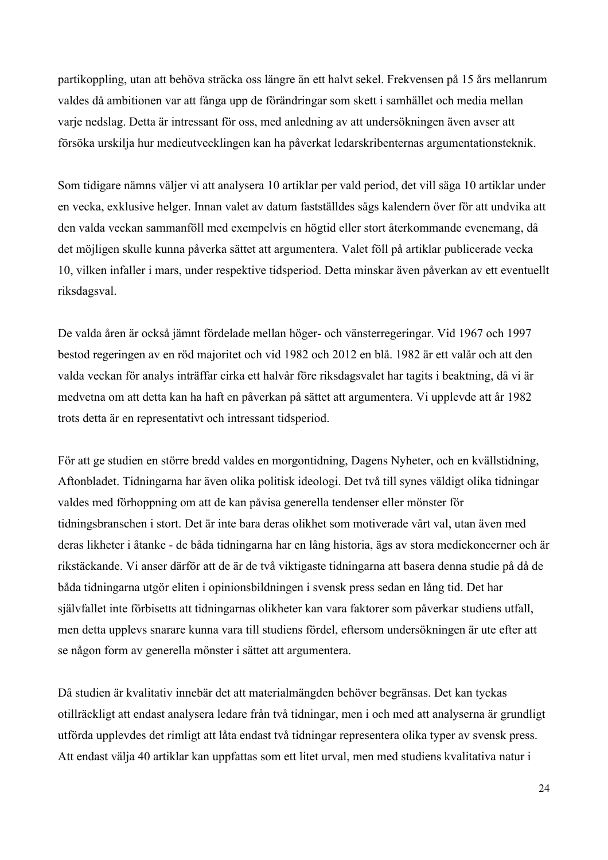partikoppling, utan att behöva sträcka oss längre än ett halvt sekel. Frekvensen på 15 års mellanrum valdes då ambitionen var att fånga upp de förändringar som skett i samhället och media mellan varje nedslag. Detta är intressant för oss, med anledning av att undersökningen även avser att försöka urskilja hur medieutvecklingen kan ha påverkat ledarskribenternas argumentationsteknik.

Som tidigare nämns väljer vi att analysera 10 artiklar per vald period, det vill säga 10 artiklar under en vecka, exklusive helger. Innan valet av datum fastställdes sågs kalendern över för att undvika att den valda veckan sammanföll med exempelvis en högtid eller stort återkommande evenemang, då det möjligen skulle kunna påverka sättet att argumentera. Valet föll på artiklar publicerade vecka 10, vilken infaller i mars, under respektive tidsperiod. Detta minskar även påverkan av ett eventuellt riksdagsval.

De valda åren är också jämnt fördelade mellan höger- och vänsterregeringar. Vid 1967 och 1997 bestod regeringen av en röd majoritet och vid 1982 och 2012 en blå. 1982 är ett valår och att den valda veckan för analys inträffar cirka ett halvår före riksdagsvalet har tagits i beaktning, då vi är medvetna om att detta kan ha haft en påverkan på sättet att argumentera. Vi upplevde att år 1982 trots detta är en representativt och intressant tidsperiod.

För att ge studien en större bredd valdes en morgontidning, Dagens Nyheter, och en kvällstidning, Aftonbladet. Tidningarna har även olika politisk ideologi. Det två till synes väldigt olika tidningar valdes med förhoppning om att de kan påvisa generella tendenser eller mönster för tidningsbranschen i stort. Det är inte bara deras olikhet som motiverade vårt val, utan även med deras likheter i åtanke - de båda tidningarna har en lång historia, ägs av stora mediekoncerner och är rikstäckande. Vi anser därför att de är de två viktigaste tidningarna att basera denna studie på då de båda tidningarna utgör eliten i opinionsbildningen i svensk press sedan en lång tid. Det har självfallet inte förbisetts att tidningarnas olikheter kan vara faktorer som påverkar studiens utfall, men detta upplevs snarare kunna vara till studiens fördel, eftersom undersökningen är ute efter att se någon form av generella mönster i sättet att argumentera.

Då studien är kvalitativ innebär det att materialmängden behöver begränsas. Det kan tyckas otillräckligt att endast analysera ledare från två tidningar, men i och med att analyserna är grundligt utförda upplevdes det rimligt att låta endast två tidningar representera olika typer av svensk press. Att endast välja 40 artiklar kan uppfattas som ett litet urval, men med studiens kvalitativa natur i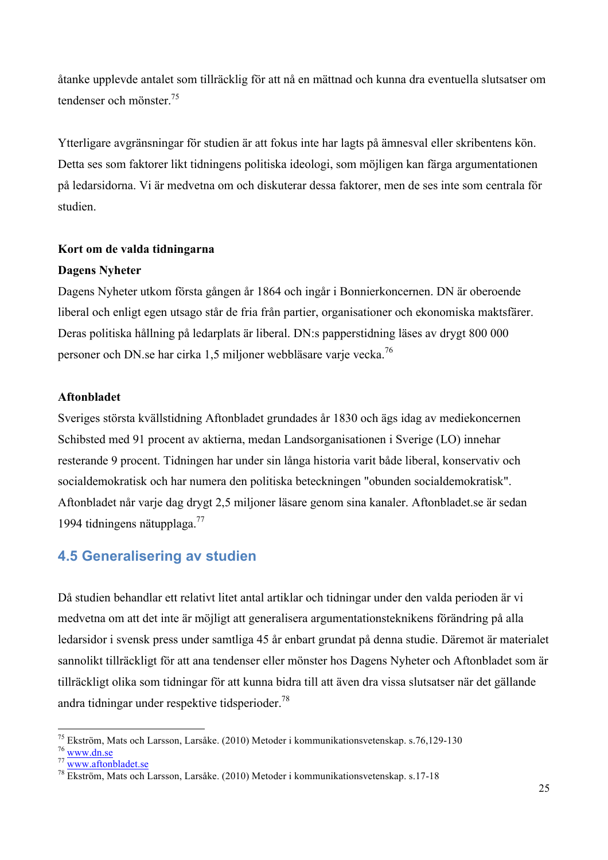åtanke upplevde antalet som tillräcklig för att nå en mättnad och kunna dra eventuella slutsatser om tendenser och mönster<sup>75</sup>

Ytterligare avgränsningar för studien är att fokus inte har lagts på ämnesval eller skribentens kön. Detta ses som faktorer likt tidningens politiska ideologi, som möjligen kan färga argumentationen på ledarsidorna. Vi är medvetna om och diskuterar dessa faktorer, men de ses inte som centrala för studien.

#### **Kort om de valda tidningarna**

#### **Dagens Nyheter**

Dagens Nyheter utkom första gången år 1864 och ingår i Bonnierkoncernen. DN är oberoende liberal och enligt egen utsago står de fria från partier, organisationer och ekonomiska maktsfärer. Deras politiska hållning på ledarplats är liberal. DN:s papperstidning läses av drygt 800 000 personer och DN.se har cirka 1,5 miljoner webbläsare varje vecka.<sup>76</sup>

#### **Aftonbladet**

Sveriges största kvällstidning Aftonbladet grundades år 1830 och ägs idag av mediekoncernen Schibsted med 91 procent av aktierna, medan Landsorganisationen i Sverige (LO) innehar resterande 9 procent. Tidningen har under sin långa historia varit både liberal, konservativ och socialdemokratisk och har numera den politiska beteckningen "obunden socialdemokratisk". Aftonbladet når varje dag drygt 2,5 miljoner läsare genom sina kanaler. Aftonbladet.se är sedan 1994 tidningens nätupplaga.77

### **4.5 Generalisering av studien**

Då studien behandlar ett relativt litet antal artiklar och tidningar under den valda perioden är vi medvetna om att det inte är möjligt att generalisera argumentationsteknikens förändring på alla ledarsidor i svensk press under samtliga 45 år enbart grundat på denna studie. Däremot är materialet sannolikt tillräckligt för att ana tendenser eller mönster hos Dagens Nyheter och Aftonbladet som är tillräckligt olika som tidningar för att kunna bidra till att även dra vissa slutsatser när det gällande andra tidningar under respektive tidsperioder.<sup>78</sup>

<sup>&</sup>lt;sup>75</sup> Ekström, Mats och Larsson, Larsåke. (2010) Metoder i kommunikationsvetenskap. s.76,129-130<br><sup>76</sup> www.dn.se<br><sup>77</sup> www.aftonbladet.se<br><sup>78</sup> Ekström, Mats och Larsson, Larsåke. (2010) Metoder i kommunikationsvetenskap. s.1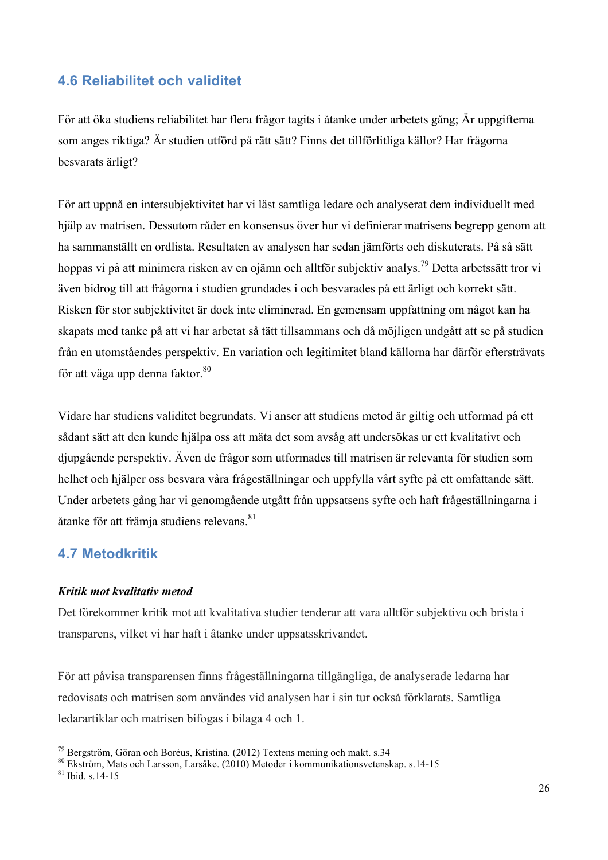# **4.6 Reliabilitet och validitet**

För att öka studiens reliabilitet har flera frågor tagits i åtanke under arbetets gång; Är uppgifterna som anges riktiga? Är studien utförd på rätt sätt? Finns det tillförlitliga källor? Har frågorna besvarats ärligt?

För att uppnå en intersubjektivitet har vi läst samtliga ledare och analyserat dem individuellt med hjälp av matrisen. Dessutom råder en konsensus över hur vi definierar matrisens begrepp genom att ha sammanställt en ordlista. Resultaten av analysen har sedan jämförts och diskuterats. På så sätt hoppas vi på att minimera risken av en ojämn och alltför subjektiv analys.<sup>79</sup> Detta arbetssätt tror vi även bidrog till att frågorna i studien grundades i och besvarades på ett ärligt och korrekt sätt. Risken för stor subjektivitet är dock inte eliminerad. En gemensam uppfattning om något kan ha skapats med tanke på att vi har arbetat så tätt tillsammans och då möjligen undgått att se på studien från en utomståendes perspektiv. En variation och legitimitet bland källorna har därför eftersträvats för att väga upp denna faktor.<sup>80</sup>

Vidare har studiens validitet begrundats. Vi anser att studiens metod är giltig och utformad på ett sådant sätt att den kunde hjälpa oss att mäta det som avsåg att undersökas ur ett kvalitativt och djupgående perspektiv. Även de frågor som utformades till matrisen är relevanta för studien som helhet och hjälper oss besvara våra frågeställningar och uppfylla vårt syfte på ett omfattande sätt. Under arbetets gång har vi genomgående utgått från uppsatsens syfte och haft frågeställningarna i åtanke för att främja studiens relevans.<sup>81</sup>

### **4.7 Metodkritik**

#### *Kritik mot kvalitativ metod*

Det förekommer kritik mot att kvalitativa studier tenderar att vara alltför subjektiva och brista i transparens, vilket vi har haft i åtanke under uppsatsskrivandet.

För att påvisa transparensen finns frågeställningarna tillgängliga, de analyserade ledarna har redovisats och matrisen som användes vid analysen har i sin tur också förklarats. Samtliga ledarartiklar och matrisen bifogas i bilaga 4 och 1.

<sup>&</sup>lt;sup>79</sup> Bergström, Göran och Boréus, Kristina. (2012) Textens mening och makt. s.34  $80$  Ekström, Mats och Larsson, Larsåke. (2010) Metoder i kommunikationsvetenskap. s.14-15  $81$  Ibid. s.14-15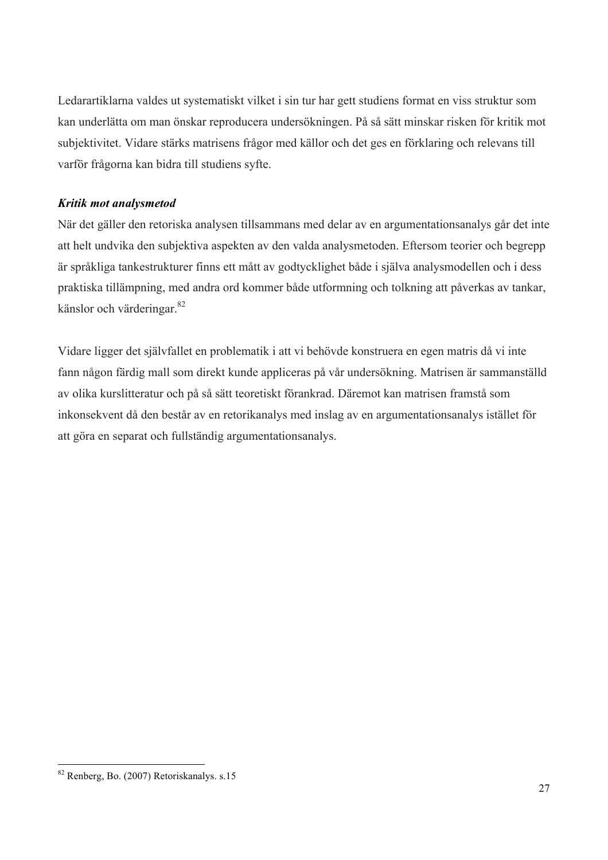Ledarartiklarna valdes ut systematiskt vilket i sin tur har gett studiens format en viss struktur som kan underlätta om man önskar reproducera undersökningen. På så sätt minskar risken för kritik mot subjektivitet. Vidare stärks matrisens frågor med källor och det ges en förklaring och relevans till varför frågorna kan bidra till studiens syfte.

### *Kritik mot analysmetod*

När det gäller den retoriska analysen tillsammans med delar av en argumentationsanalys går det inte att helt undvika den subjektiva aspekten av den valda analysmetoden. Eftersom teorier och begrepp är språkliga tankestrukturer finns ett mått av godtycklighet både i själva analysmodellen och i dess praktiska tillämpning, med andra ord kommer både utformning och tolkning att påverkas av tankar, känslor och värderingar. 82

Vidare ligger det självfallet en problematik i att vi behövde konstruera en egen matris då vi inte fann någon färdig mall som direkt kunde appliceras på vår undersökning. Matrisen är sammanställd av olika kurslitteratur och på så sätt teoretiskt förankrad. Däremot kan matrisen framstå som inkonsekvent då den består av en retorikanalys med inslag av en argumentationsanalys istället för att göra en separat och fullständig argumentationsanalys.

 <sup>82</sup> Renberg, Bo. (2007) Retoriskanalys. s.15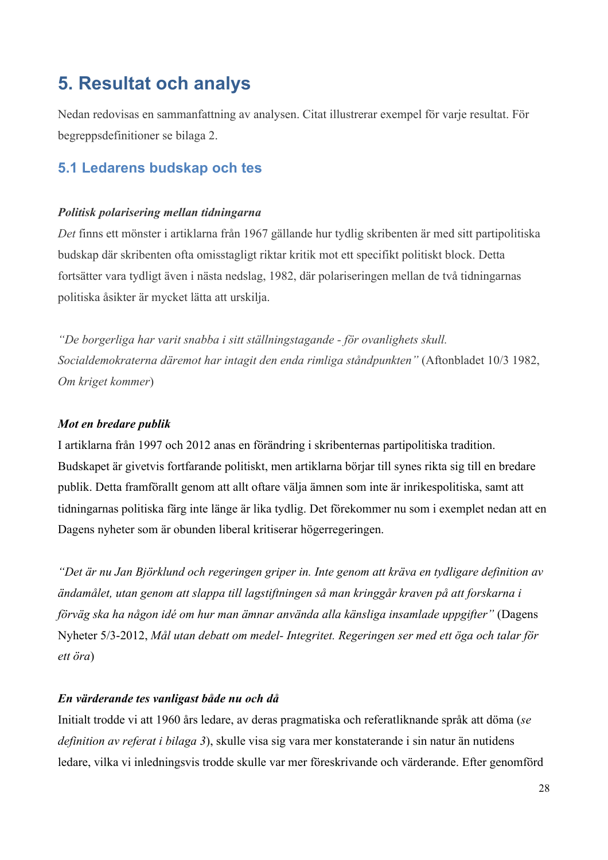# **5. Resultat och analys**

Nedan redovisas en sammanfattning av analysen. Citat illustrerar exempel för varje resultat. För begreppsdefinitioner se bilaga 2.

# **5.1 Ledarens budskap och tes**

#### *Politisk polarisering mellan tidningarna*

*Det* finns ett mönster i artiklarna från 1967 gällande hur tydlig skribenten är med sitt partipolitiska budskap där skribenten ofta omisstagligt riktar kritik mot ett specifikt politiskt block. Detta fortsätter vara tydligt även i nästa nedslag, 1982, där polariseringen mellan de två tidningarnas politiska åsikter är mycket lätta att urskilja.

*"De borgerliga har varit snabba i sitt ställningstagande - för ovanlighets skull. Socialdemokraterna däremot har intagit den enda rimliga ståndpunkten"* (Aftonbladet 10/3 1982, *Om kriget kommer*)

#### *Mot en bredare publik*

I artiklarna från 1997 och 2012 anas en förändring i skribenternas partipolitiska tradition. Budskapet är givetvis fortfarande politiskt, men artiklarna börjar till synes rikta sig till en bredare publik. Detta framförallt genom att allt oftare välja ämnen som inte är inrikespolitiska, samt att tidningarnas politiska färg inte länge är lika tydlig. Det förekommer nu som i exemplet nedan att en Dagens nyheter som är obunden liberal kritiserar högerregeringen.

*"Det är nu Jan Björklund och regeringen griper in. Inte genom att kräva en tydligare definition av ändamålet, utan genom att slappa till lagstiftningen så man kringgår kraven på att forskarna i förväg ska ha någon idé om hur man ämnar använda alla känsliga insamlade uppgifter"* (Dagens Nyheter 5/3-2012, *Mål utan debatt om medel- Integritet. Regeringen ser med ett öga och talar för ett öra*)

#### *En värderande tes vanligast både nu och då*

Initialt trodde vi att 1960 års ledare, av deras pragmatiska och referatliknande språk att döma (*se definition av referat i bilaga 3*), skulle visa sig vara mer konstaterande i sin natur än nutidens ledare, vilka vi inledningsvis trodde skulle var mer föreskrivande och värderande. Efter genomförd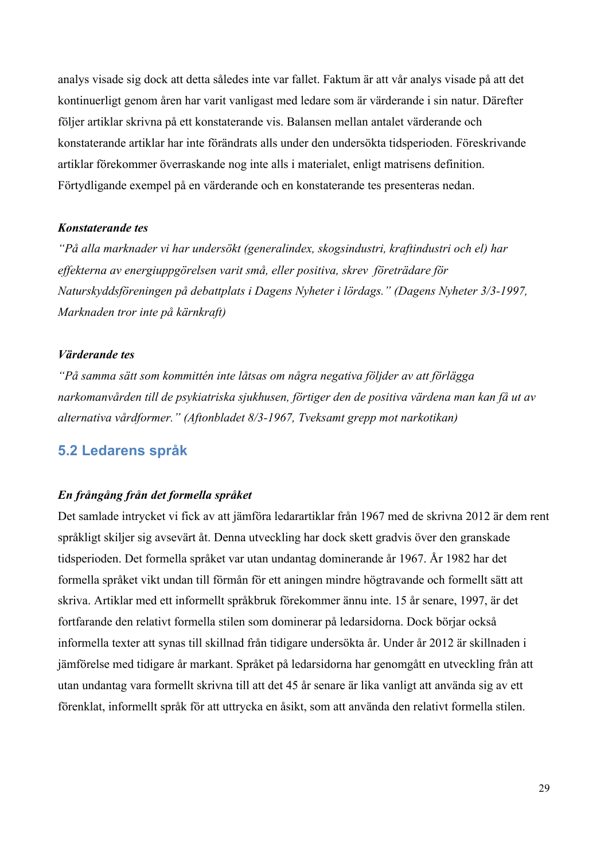analys visade sig dock att detta således inte var fallet. Faktum är att vår analys visade på att det kontinuerligt genom åren har varit vanligast med ledare som är värderande i sin natur. Därefter följer artiklar skrivna på ett konstaterande vis. Balansen mellan antalet värderande och konstaterande artiklar har inte förändrats alls under den undersökta tidsperioden. Föreskrivande artiklar förekommer överraskande nog inte alls i materialet, enligt matrisens definition. Förtydligande exempel på en värderande och en konstaterande tes presenteras nedan.

#### *Konstaterande tes*

*"På alla marknader vi har undersökt (generalindex, skogsindustri, kraftindustri och el) har effekterna av energiuppgörelsen varit små, eller positiva, skrev företrädare för Naturskyddsföreningen på debattplats i Dagens Nyheter i lördags." (Dagens Nyheter 3/3-1997, Marknaden tror inte på kärnkraft)*

#### *Värderande tes*

*"På samma sätt som kommittén inte låtsas om några negativa följder av att förlägga narkomanvården till de psykiatriska sjukhusen, förtiger den de positiva värdena man kan få ut av alternativa vårdformer." (Aftonbladet 8/3-1967, Tveksamt grepp mot narkotikan)*

#### **5.2 Ledarens språk**

#### *En frångång från det formella språket*

Det samlade intrycket vi fick av att jämföra ledarartiklar från 1967 med de skrivna 2012 är dem rent språkligt skiljer sig avsevärt åt. Denna utveckling har dock skett gradvis över den granskade tidsperioden. Det formella språket var utan undantag dominerande år 1967. År 1982 har det formella språket vikt undan till förmån för ett aningen mindre högtravande och formellt sätt att skriva. Artiklar med ett informellt språkbruk förekommer ännu inte. 15 år senare, 1997, är det fortfarande den relativt formella stilen som dominerar på ledarsidorna. Dock börjar också informella texter att synas till skillnad från tidigare undersökta år. Under år 2012 är skillnaden i jämförelse med tidigare år markant. Språket på ledarsidorna har genomgått en utveckling från att utan undantag vara formellt skrivna till att det 45 år senare är lika vanligt att använda sig av ett förenklat, informellt språk för att uttrycka en åsikt, som att använda den relativt formella stilen.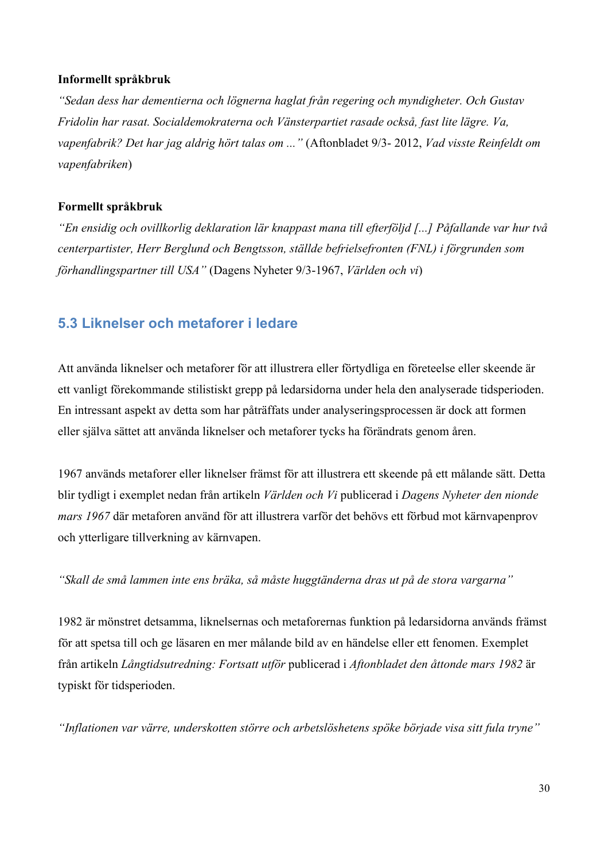#### **Informellt språkbruk**

*"Sedan dess har dementierna och lögnerna haglat från regering och myndigheter. Och Gustav Fridolin har rasat. Socialdemokraterna och Vänsterpartiet rasade också, fast lite lägre. Va, vapenfabrik? Det har jag aldrig hört talas om ..."* (Aftonbladet 9/3- 2012, *Vad visste Reinfeldt om vapenfabriken*)

#### **Formellt språkbruk**

*"En ensidig och ovillkorlig deklaration lär knappast mana till efterföljd [...] Påfallande var hur två centerpartister, Herr Berglund och Bengtsson, ställde befrielsefronten (FNL) i förgrunden som förhandlingspartner till USA"* (Dagens Nyheter 9/3-1967, *Världen och vi*)

### **5.3 Liknelser och metaforer i ledare**

Att använda liknelser och metaforer för att illustrera eller förtydliga en företeelse eller skeende är ett vanligt förekommande stilistiskt grepp på ledarsidorna under hela den analyserade tidsperioden. En intressant aspekt av detta som har påträffats under analyseringsprocessen är dock att formen eller själva sättet att använda liknelser och metaforer tycks ha förändrats genom åren.

1967 används metaforer eller liknelser främst för att illustrera ett skeende på ett målande sätt. Detta blir tydligt i exemplet nedan från artikeln *Världen och Vi* publicerad i *Dagens Nyheter den nionde mars 1967* där metaforen använd för att illustrera varför det behövs ett förbud mot kärnvapenprov och ytterligare tillverkning av kärnvapen.

*"Skall de små lammen inte ens bräka, så måste huggtänderna dras ut på de stora vargarna"* 

1982 är mönstret detsamma, liknelsernas och metaforernas funktion på ledarsidorna används främst för att spetsa till och ge läsaren en mer målande bild av en händelse eller ett fenomen. Exemplet från artikeln *Långtidsutredning: Fortsatt utför* publicerad i *Aftonbladet den åttonde mars 1982* är typiskt för tidsperioden.

*"Inflationen var värre, underskotten större och arbetslöshetens spöke började visa sitt fula tryne"*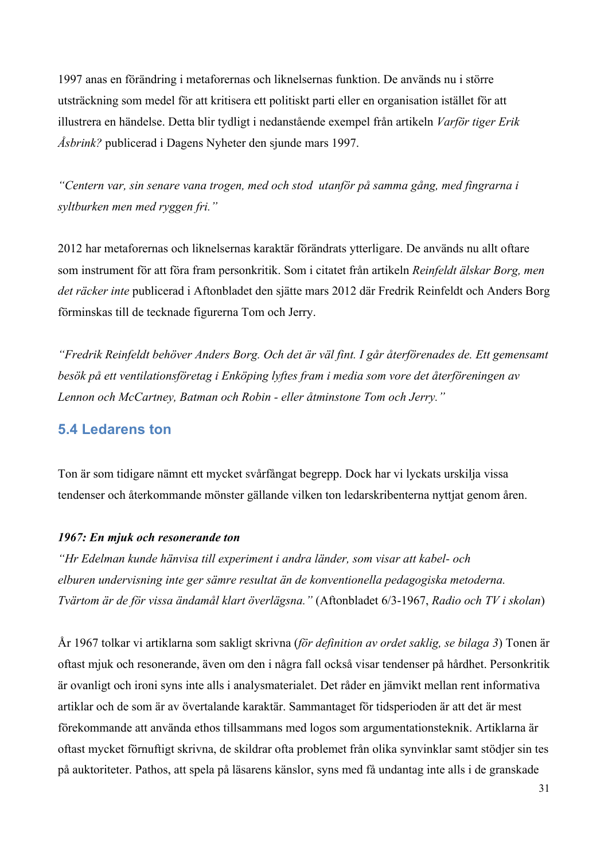1997 anas en förändring i metaforernas och liknelsernas funktion. De används nu i större utsträckning som medel för att kritisera ett politiskt parti eller en organisation istället för att illustrera en händelse. Detta blir tydligt i nedanstående exempel från artikeln *Varför tiger Erik Åsbrink?* publicerad i Dagens Nyheter den sjunde mars 1997.

*"Centern var, sin senare vana trogen, med och stod utanför på samma gång, med fingrarna i syltburken men med ryggen fri."*

2012 har metaforernas och liknelsernas karaktär förändrats ytterligare. De används nu allt oftare som instrument för att föra fram personkritik. Som i citatet från artikeln *Reinfeldt älskar Borg, men det räcker inte* publicerad i Aftonbladet den sjätte mars 2012 där Fredrik Reinfeldt och Anders Borg förminskas till de tecknade figurerna Tom och Jerry.

*"Fredrik Reinfeldt behöver Anders Borg. Och det är väl fint. I går återförenades de. Ett gemensamt besök på ett ventilationsföretag i Enköping lyftes fram i media som vore det återföreningen av Lennon och McCartney, Batman och Robin - eller åtminstone Tom och Jerry."* 

# **5.4 Ledarens ton**

Ton är som tidigare nämnt ett mycket svårfångat begrepp. Dock har vi lyckats urskilja vissa tendenser och återkommande mönster gällande vilken ton ledarskribenterna nyttjat genom åren.

#### *1967: En mjuk och resonerande ton*

*"Hr Edelman kunde hänvisa till experiment i andra länder, som visar att kabel- och elburen undervisning inte ger sämre resultat än de konventionella pedagogiska metoderna. Tvärtom är de för vissa ändamål klart överlägsna."* (Aftonbladet 6/3-1967, *Radio och TV i skolan*)

År 1967 tolkar vi artiklarna som sakligt skrivna (*för definition av ordet saklig, se bilaga 3*) Tonen är oftast mjuk och resonerande, även om den i några fall också visar tendenser på hårdhet. Personkritik är ovanligt och ironi syns inte alls i analysmaterialet. Det råder en jämvikt mellan rent informativa artiklar och de som är av övertalande karaktär. Sammantaget för tidsperioden är att det är mest förekommande att använda ethos tillsammans med logos som argumentationsteknik. Artiklarna är oftast mycket förnuftigt skrivna, de skildrar ofta problemet från olika synvinklar samt stödjer sin tes på auktoriteter. Pathos, att spela på läsarens känslor, syns med få undantag inte alls i de granskade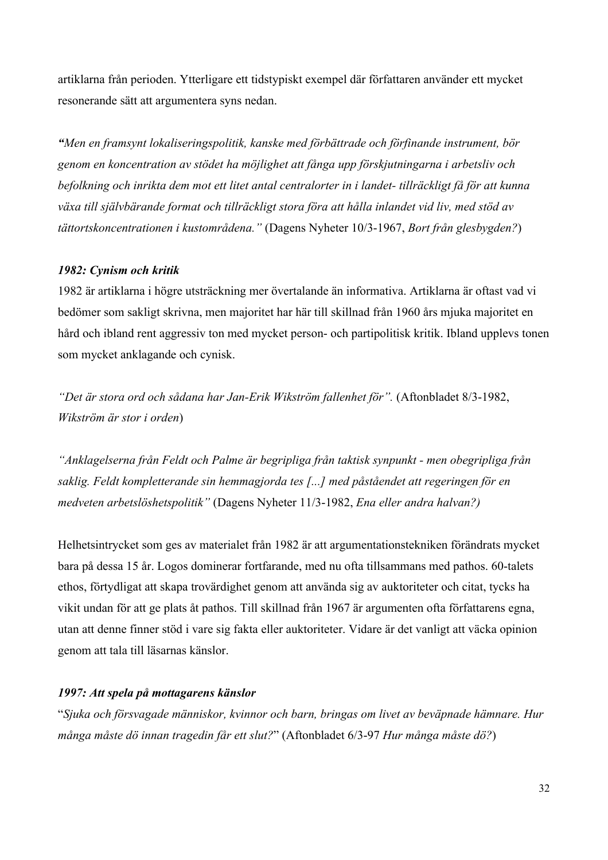artiklarna från perioden. Ytterligare ett tidstypiskt exempel där författaren använder ett mycket resonerande sätt att argumentera syns nedan.

*"Men en framsynt lokaliseringspolitik, kanske med förbättrade och förfinande instrument, bör genom en koncentration av stödet ha möjlighet att fånga upp förskjutningarna i arbetsliv och befolkning och inrikta dem mot ett litet antal centralorter in i landet- tillräckligt få för att kunna växa till självbärande format och tillräckligt stora föra att hålla inlandet vid liv, med stöd av tättortskoncentrationen i kustområdena."* (Dagens Nyheter 10/3-1967, *Bort från glesbygden?*)

#### *1982: Cynism och kritik*

1982 är artiklarna i högre utsträckning mer övertalande än informativa. Artiklarna är oftast vad vi bedömer som sakligt skrivna, men majoritet har här till skillnad från 1960 års mjuka majoritet en hård och ibland rent aggressiv ton med mycket person- och partipolitisk kritik. Ibland upplevs tonen som mycket anklagande och cynisk.

*"Det är stora ord och sådana har Jan-Erik Wikström fallenhet för".* (Aftonbladet 8/3-1982, *Wikström är stor i orden*)

*"Anklagelserna från Feldt och Palme är begripliga från taktisk synpunkt - men obegripliga från saklig. Feldt kompletterande sin hemmagjorda tes [...] med påståendet att regeringen för en medveten arbetslöshetspolitik"* (Dagens Nyheter 11/3-1982, *Ena eller andra halvan?)*

Helhetsintrycket som ges av materialet från 1982 är att argumentationstekniken förändrats mycket bara på dessa 15 år. Logos dominerar fortfarande, med nu ofta tillsammans med pathos. 60-talets ethos, förtydligat att skapa trovärdighet genom att använda sig av auktoriteter och citat, tycks ha vikit undan för att ge plats åt pathos. Till skillnad från 1967 är argumenten ofta författarens egna, utan att denne finner stöd i vare sig fakta eller auktoriteter. Vidare är det vanligt att väcka opinion genom att tala till läsarnas känslor.

#### *1997: Att spela på mottagarens känslor*

"*Sjuka och försvagade människor, kvinnor och barn, bringas om livet av beväpnade hämnare. Hur många måste dö innan tragedin får ett slut?*" (Aftonbladet 6/3-97 *Hur många måste dö?*)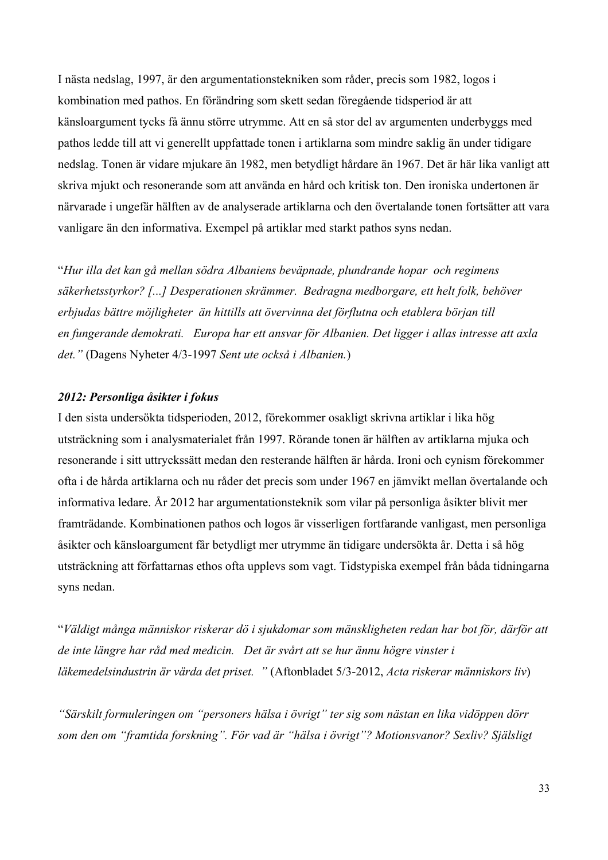I nästa nedslag, 1997, är den argumentationstekniken som råder, precis som 1982, logos i kombination med pathos. En förändring som skett sedan föregående tidsperiod är att känsloargument tycks få ännu större utrymme. Att en så stor del av argumenten underbyggs med pathos ledde till att vi generellt uppfattade tonen i artiklarna som mindre saklig än under tidigare nedslag. Tonen är vidare mjukare än 1982, men betydligt hårdare än 1967. Det är här lika vanligt att skriva mjukt och resonerande som att använda en hård och kritisk ton. Den ironiska undertonen är närvarade i ungefär hälften av de analyserade artiklarna och den övertalande tonen fortsätter att vara vanligare än den informativa. Exempel på artiklar med starkt pathos syns nedan.

"*Hur illa det kan gå mellan södra Albaniens beväpnade, plundrande hopar och regimens säkerhetsstyrkor? [...] Desperationen skrämmer. Bedragna medborgare, ett helt folk, behöver erbjudas bättre möjligheter än hittills att övervinna det förflutna och etablera början till en fungerande demokrati. Europa har ett ansvar för Albanien. Det ligger i allas intresse att axla det."* (Dagens Nyheter 4/3-1997 *Sent ute också i Albanien.*)

#### *2012: Personliga åsikter i fokus*

I den sista undersökta tidsperioden, 2012, förekommer osakligt skrivna artiklar i lika hög utsträckning som i analysmaterialet från 1997. Rörande tonen är hälften av artiklarna mjuka och resonerande i sitt uttryckssätt medan den resterande hälften är hårda. Ironi och cynism förekommer ofta i de hårda artiklarna och nu råder det precis som under 1967 en jämvikt mellan övertalande och informativa ledare. År 2012 har argumentationsteknik som vilar på personliga åsikter blivit mer framträdande. Kombinationen pathos och logos är visserligen fortfarande vanligast, men personliga åsikter och känsloargument får betydligt mer utrymme än tidigare undersökta år. Detta i så hög utsträckning att författarnas ethos ofta upplevs som vagt. Tidstypiska exempel från båda tidningarna syns nedan.

"*Väldigt många människor riskerar dö i sjukdomar som mänskligheten redan har bot för, därför att de inte längre har råd med medicin. Det är svårt att se hur ännu högre vinster i läkemedelsindustrin är värda det priset. "* (Aftonbladet 5/3-2012, *Acta riskerar människors liv*)

*"Särskilt formuleringen om "personers hälsa i övrigt" ter sig som nästan en lika vidöppen dörr som den om "framtida forskning". För vad är "hälsa i övrigt"? Motionsvanor? Sexliv? Själsligt*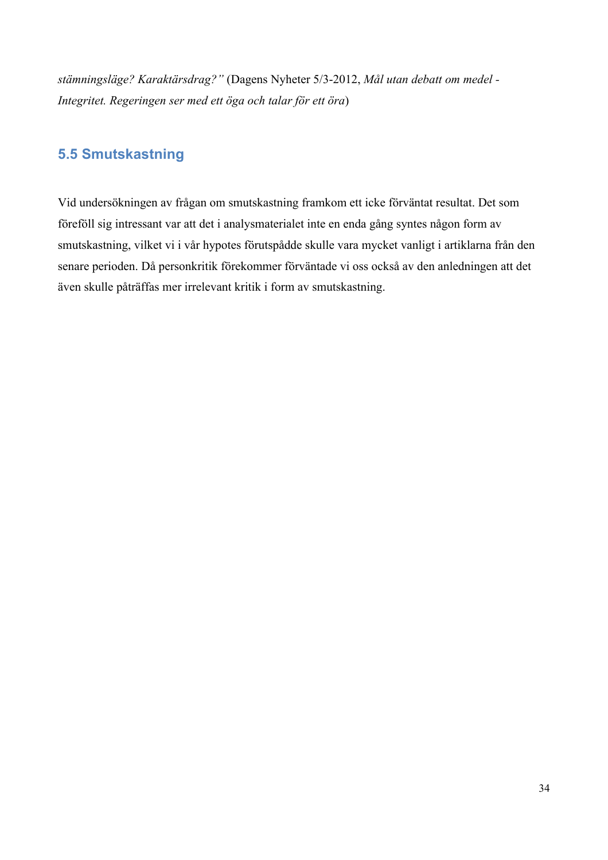*stämningsläge? Karaktärsdrag?"* (Dagens Nyheter 5/3-2012, *Mål utan debatt om medel - Integritet. Regeringen ser med ett öga och talar för ett öra*)

# **5.5 Smutskastning**

Vid undersökningen av frågan om smutskastning framkom ett icke förväntat resultat. Det som föreföll sig intressant var att det i analysmaterialet inte en enda gång syntes någon form av smutskastning, vilket vi i vår hypotes förutspådde skulle vara mycket vanligt i artiklarna från den senare perioden. Då personkritik förekommer förväntade vi oss också av den anledningen att det även skulle påträffas mer irrelevant kritik i form av smutskastning.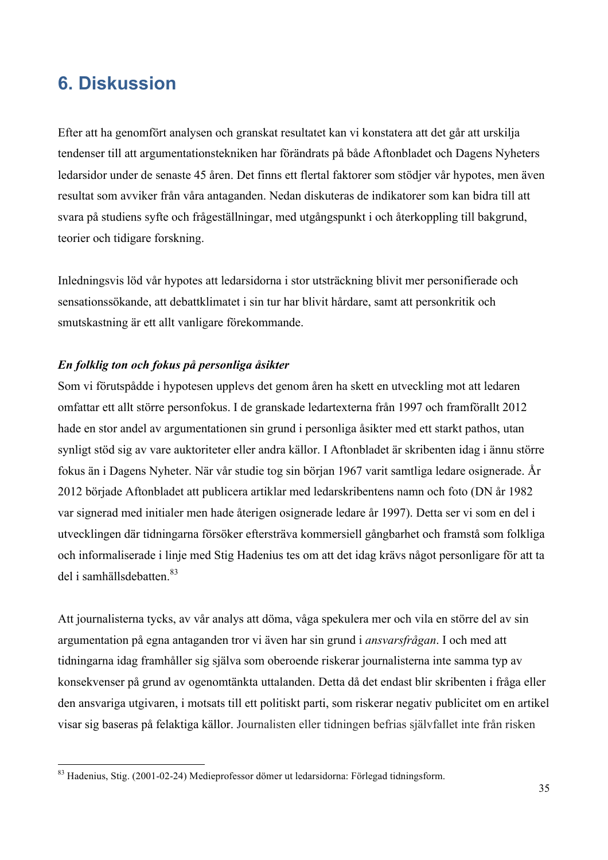# **6. Diskussion**

Efter att ha genomfört analysen och granskat resultatet kan vi konstatera att det går att urskilja tendenser till att argumentationstekniken har förändrats på både Aftonbladet och Dagens Nyheters ledarsidor under de senaste 45 åren. Det finns ett flertal faktorer som stödjer vår hypotes, men även resultat som avviker från våra antaganden. Nedan diskuteras de indikatorer som kan bidra till att svara på studiens syfte och frågeställningar, med utgångspunkt i och återkoppling till bakgrund, teorier och tidigare forskning.

Inledningsvis löd vår hypotes att ledarsidorna i stor utsträckning blivit mer personifierade och sensationssökande, att debattklimatet i sin tur har blivit hårdare, samt att personkritik och smutskastning är ett allt vanligare förekommande.

#### *En folklig ton och fokus på personliga åsikter*

Som vi förutspådde i hypotesen upplevs det genom åren ha skett en utveckling mot att ledaren omfattar ett allt större personfokus. I de granskade ledartexterna från 1997 och framförallt 2012 hade en stor andel av argumentationen sin grund i personliga åsikter med ett starkt pathos, utan synligt stöd sig av vare auktoriteter eller andra källor. I Aftonbladet är skribenten idag i ännu större fokus än i Dagens Nyheter. När vår studie tog sin början 1967 varit samtliga ledare osignerade. År 2012 började Aftonbladet att publicera artiklar med ledarskribentens namn och foto (DN år 1982 var signerad med initialer men hade återigen osignerade ledare år 1997). Detta ser vi som en del i utvecklingen där tidningarna försöker eftersträva kommersiell gångbarhet och framstå som folkliga och informaliserade i linje med Stig Hadenius tes om att det idag krävs något personligare för att ta del i samhällsdebatten. 83

Att journalisterna tycks, av vår analys att döma, våga spekulera mer och vila en större del av sin argumentation på egna antaganden tror vi även har sin grund i *ansvarsfrågan*. I och med att tidningarna idag framhåller sig själva som oberoende riskerar journalisterna inte samma typ av konsekvenser på grund av ogenomtänkta uttalanden. Detta då det endast blir skribenten i fråga eller den ansvariga utgivaren, i motsats till ett politiskt parti, som riskerar negativ publicitet om en artikel visar sig baseras på felaktiga källor. Journalisten eller tidningen befrias självfallet inte från risken

 <sup>83</sup> Hadenius, Stig. (2001-02-24) Medieprofessor dömer ut ledarsidorna: Förlegad tidningsform.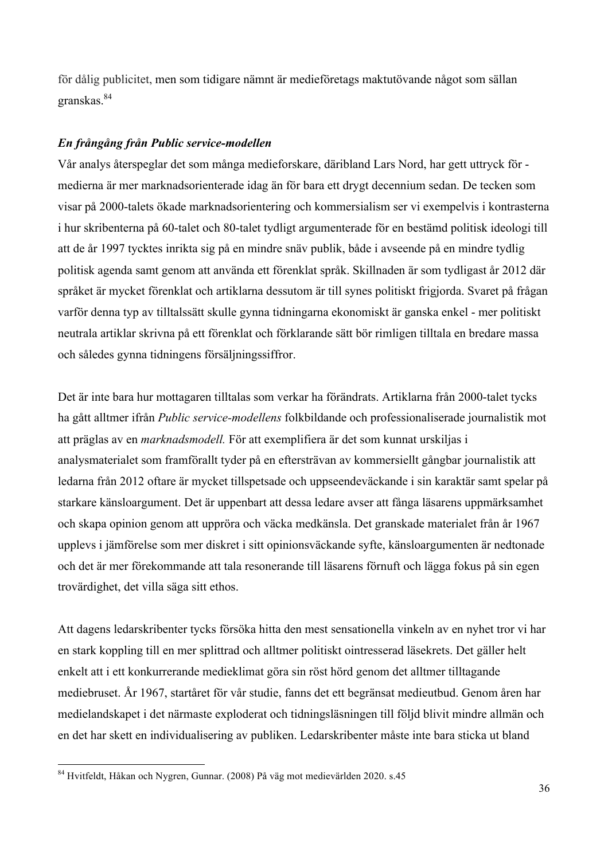för dålig publicitet, men som tidigare nämnt är medieföretags maktutövande något som sällan granskas.84

#### *En frångång från Public service-modellen*

Vår analys återspeglar det som många medieforskare, däribland Lars Nord, har gett uttryck för medierna är mer marknadsorienterade idag än för bara ett drygt decennium sedan. De tecken som visar på 2000-talets ökade marknadsorientering och kommersialism ser vi exempelvis i kontrasterna i hur skribenterna på 60-talet och 80-talet tydligt argumenterade för en bestämd politisk ideologi till att de år 1997 tycktes inrikta sig på en mindre snäv publik, både i avseende på en mindre tydlig politisk agenda samt genom att använda ett förenklat språk. Skillnaden är som tydligast år 2012 där språket är mycket förenklat och artiklarna dessutom är till synes politiskt frigjorda. Svaret på frågan varför denna typ av tilltalssätt skulle gynna tidningarna ekonomiskt är ganska enkel - mer politiskt neutrala artiklar skrivna på ett förenklat och förklarande sätt bör rimligen tilltala en bredare massa och således gynna tidningens försäljningssiffror.

Det är inte bara hur mottagaren tilltalas som verkar ha förändrats. Artiklarna från 2000-talet tycks ha gått alltmer ifrån *Public service-modellens* folkbildande och professionaliserade journalistik mot att präglas av en *marknadsmodell.* För att exemplifiera är det som kunnat urskiljas i analysmaterialet som framförallt tyder på en eftersträvan av kommersiellt gångbar journalistik att ledarna från 2012 oftare är mycket tillspetsade och uppseendeväckande i sin karaktär samt spelar på starkare känsloargument. Det är uppenbart att dessa ledare avser att fånga läsarens uppmärksamhet och skapa opinion genom att uppröra och väcka medkänsla. Det granskade materialet från år 1967 upplevs i jämförelse som mer diskret i sitt opinionsväckande syfte, känsloargumenten är nedtonade och det är mer förekommande att tala resonerande till läsarens förnuft och lägga fokus på sin egen trovärdighet, det villa säga sitt ethos.

Att dagens ledarskribenter tycks försöka hitta den mest sensationella vinkeln av en nyhet tror vi har en stark koppling till en mer splittrad och alltmer politiskt ointresserad läsekrets. Det gäller helt enkelt att i ett konkurrerande medieklimat göra sin röst hörd genom det alltmer tilltagande mediebruset. År 1967, startåret för vår studie, fanns det ett begränsat medieutbud. Genom åren har medielandskapet i det närmaste exploderat och tidningsläsningen till följd blivit mindre allmän och en det har skett en individualisering av publiken. Ledarskribenter måste inte bara sticka ut bland

 <sup>84</sup> Hvitfeldt, Håkan och Nygren, Gunnar. (2008) På väg mot medievärlden 2020. s.45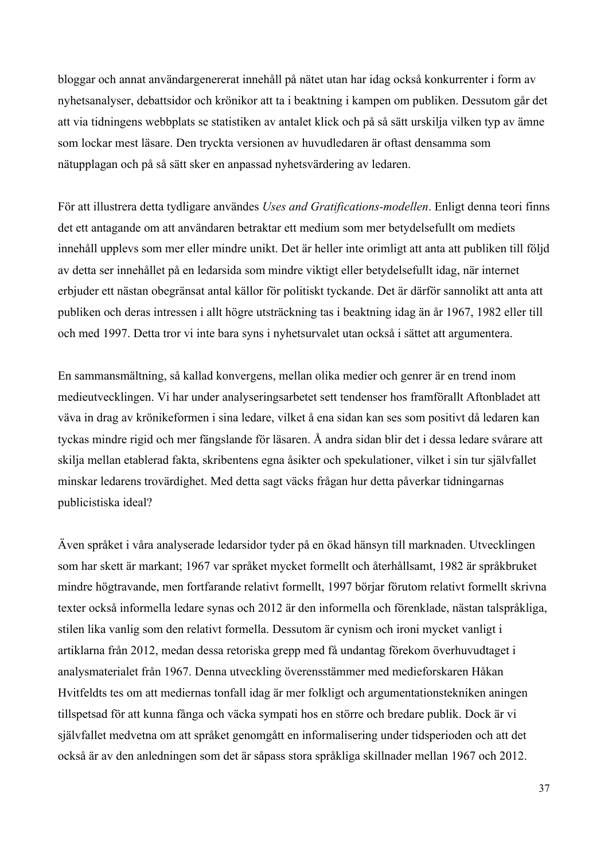bloggar och annat användargenererat innehåll på nätet utan har idag också konkurrenter i form av nyhetsanalyser, debattsidor och krönikor att ta i beaktning i kampen om publiken. Dessutom går det att via tidningens webbplats se statistiken av antalet klick och på så sätt urskilja vilken typ av ämne som lockar mest läsare. Den tryckta versionen av huvudledaren är oftast densamma som nätupplagan och på så sätt sker en anpassad nyhetsvärdering av ledaren.

För att illustrera detta tydligare användes *Uses and Gratifications-modellen*. Enligt denna teori finns det ett antagande om att användaren betraktar ett medium som mer betydelsefullt om mediets innehåll upplevs som mer eller mindre unikt. Det är heller inte orimligt att anta att publiken till följd av detta ser innehållet på en ledarsida som mindre viktigt eller betydelsefullt idag, när internet erbjuder ett nästan obegränsat antal källor för politiskt tyckande. Det är därför sannolikt att anta att publiken och deras intressen i allt högre utsträckning tas i beaktning idag än år 1967, 1982 eller till och med 1997. Detta tror vi inte bara syns i nyhetsurvalet utan också i sättet att argumentera.

En sammansmältning, så kallad konvergens, mellan olika medier och genrer är en trend inom medieutvecklingen. Vi har under analyseringsarbetet sett tendenser hos framförallt Aftonbladet att väva in drag av krönikeformen i sina ledare, vilket å ena sidan kan ses som positivt då ledaren kan tyckas mindre rigid och mer fängslande för läsaren. Å andra sidan blir det i dessa ledare svårare att skilja mellan etablerad fakta, skribentens egna åsikter och spekulationer, vilket i sin tur självfallet minskar ledarens trovärdighet. Med detta sagt väcks frågan hur detta påverkar tidningarnas publicistiska ideal?

Även språket i våra analyserade ledarsidor tyder på en ökad hänsyn till marknaden. Utvecklingen som har skett är markant; 1967 var språket mycket formellt och återhållsamt, 1982 är språkbruket mindre högtravande, men fortfarande relativt formellt, 1997 börjar förutom relativt formellt skrivna texter också informella ledare synas och 2012 är den informella och förenklade, nästan talspråkliga, stilen lika vanlig som den relativt formella. Dessutom är cynism och ironi mycket vanligt i artiklarna från 2012, medan dessa retoriska grepp med få undantag förekom överhuvudtaget i analysmaterialet från 1967. Denna utveckling överensstämmer med medieforskaren Håkan Hvitfeldts tes om att mediernas tonfall idag är mer folkligt och argumentationstekniken aningen tillspetsad för att kunna fånga och väcka sympati hos en större och bredare publik. Dock är vi självfallet medvetna om att språket genomgått en informalisering under tidsperioden och att det också är av den anledningen som det är såpass stora språkliga skillnader mellan 1967 och 2012.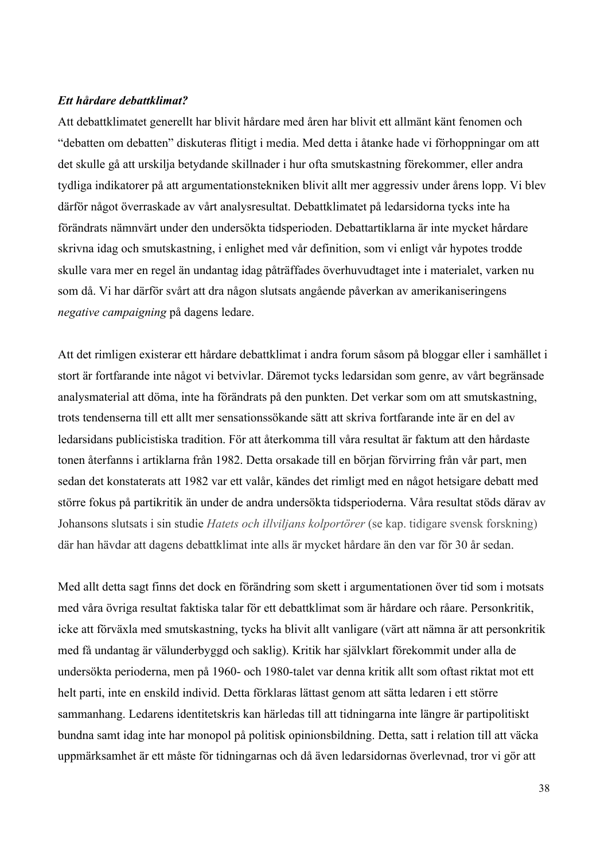#### *Ett hårdare debattklimat?*

Att debattklimatet generellt har blivit hårdare med åren har blivit ett allmänt känt fenomen och "debatten om debatten" diskuteras flitigt i media. Med detta i åtanke hade vi förhoppningar om att det skulle gå att urskilja betydande skillnader i hur ofta smutskastning förekommer, eller andra tydliga indikatorer på att argumentationstekniken blivit allt mer aggressiv under årens lopp. Vi blev därför något överraskade av vårt analysresultat. Debattklimatet på ledarsidorna tycks inte ha förändrats nämnvärt under den undersökta tidsperioden. Debattartiklarna är inte mycket hårdare skrivna idag och smutskastning, i enlighet med vår definition, som vi enligt vår hypotes trodde skulle vara mer en regel än undantag idag påträffades överhuvudtaget inte i materialet, varken nu som då. Vi har därför svårt att dra någon slutsats angående påverkan av amerikaniseringens *negative campaigning* på dagens ledare.

Att det rimligen existerar ett hårdare debattklimat i andra forum såsom på bloggar eller i samhället i stort är fortfarande inte något vi betvivlar. Däremot tycks ledarsidan som genre, av vårt begränsade analysmaterial att döma, inte ha förändrats på den punkten. Det verkar som om att smutskastning, trots tendenserna till ett allt mer sensationssökande sätt att skriva fortfarande inte är en del av ledarsidans publicistiska tradition. För att återkomma till våra resultat är faktum att den hårdaste tonen återfanns i artiklarna från 1982. Detta orsakade till en början förvirring från vår part, men sedan det konstaterats att 1982 var ett valår, kändes det rimligt med en något hetsigare debatt med större fokus på partikritik än under de andra undersökta tidsperioderna. Våra resultat stöds därav av Johansons slutsats i sin studie *Hatets och illviljans kolportörer* (se kap. tidigare svensk forskning) där han hävdar att dagens debattklimat inte alls är mycket hårdare än den var för 30 år sedan.

Med allt detta sagt finns det dock en förändring som skett i argumentationen över tid som i motsats med våra övriga resultat faktiska talar för ett debattklimat som är hårdare och råare. Personkritik, icke att förväxla med smutskastning, tycks ha blivit allt vanligare (värt att nämna är att personkritik med få undantag är välunderbyggd och saklig). Kritik har självklart förekommit under alla de undersökta perioderna, men på 1960- och 1980-talet var denna kritik allt som oftast riktat mot ett helt parti, inte en enskild individ. Detta förklaras lättast genom att sätta ledaren i ett större sammanhang. Ledarens identitetskris kan härledas till att tidningarna inte längre är partipolitiskt bundna samt idag inte har monopol på politisk opinionsbildning. Detta, satt i relation till att väcka uppmärksamhet är ett måste för tidningarnas och då även ledarsidornas överlevnad, tror vi gör att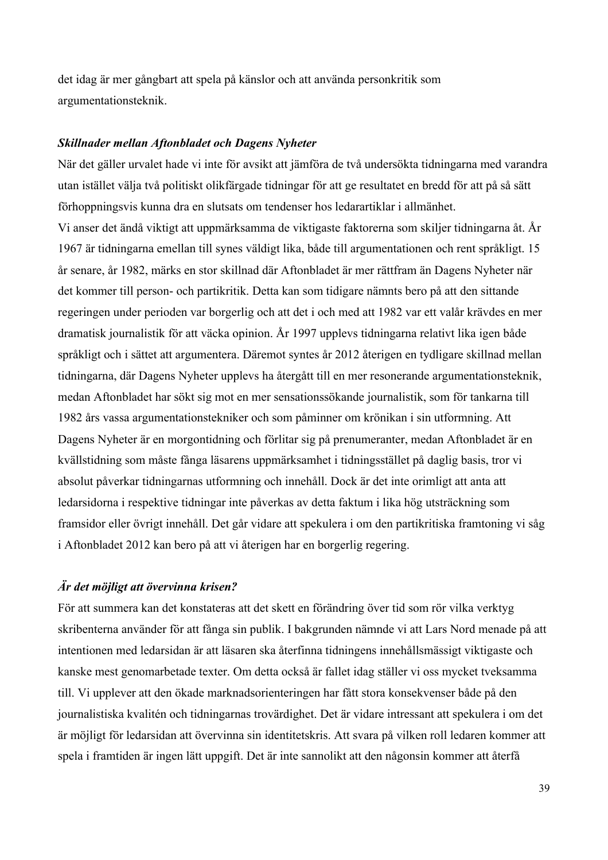det idag är mer gångbart att spela på känslor och att använda personkritik som argumentationsteknik.

#### *Skillnader mellan Aftonbladet och Dagens Nyheter*

När det gäller urvalet hade vi inte för avsikt att jämföra de två undersökta tidningarna med varandra utan istället välja två politiskt olikfärgade tidningar för att ge resultatet en bredd för att på så sätt förhoppningsvis kunna dra en slutsats om tendenser hos ledarartiklar i allmänhet. Vi anser det ändå viktigt att uppmärksamma de viktigaste faktorerna som skiljer tidningarna åt. År 1967 är tidningarna emellan till synes väldigt lika, både till argumentationen och rent språkligt. 15 år senare, år 1982, märks en stor skillnad där Aftonbladet är mer rättfram än Dagens Nyheter när det kommer till person- och partikritik. Detta kan som tidigare nämnts bero på att den sittande regeringen under perioden var borgerlig och att det i och med att 1982 var ett valår krävdes en mer dramatisk journalistik för att väcka opinion. År 1997 upplevs tidningarna relativt lika igen både språkligt och i sättet att argumentera. Däremot syntes år 2012 återigen en tydligare skillnad mellan tidningarna, där Dagens Nyheter upplevs ha återgått till en mer resonerande argumentationsteknik, medan Aftonbladet har sökt sig mot en mer sensationssökande journalistik, som för tankarna till 1982 års vassa argumentationstekniker och som påminner om krönikan i sin utformning. Att Dagens Nyheter är en morgontidning och förlitar sig på prenumeranter, medan Aftonbladet är en kvällstidning som måste fånga läsarens uppmärksamhet i tidningsstället på daglig basis, tror vi absolut påverkar tidningarnas utformning och innehåll. Dock är det inte orimligt att anta att ledarsidorna i respektive tidningar inte påverkas av detta faktum i lika hög utsträckning som framsidor eller övrigt innehåll. Det går vidare att spekulera i om den partikritiska framtoning vi såg i Aftonbladet 2012 kan bero på att vi återigen har en borgerlig regering.

### *Är det möjligt att övervinna krisen?*

För att summera kan det konstateras att det skett en förändring över tid som rör vilka verktyg skribenterna använder för att fånga sin publik. I bakgrunden nämnde vi att Lars Nord menade på att intentionen med ledarsidan är att läsaren ska återfinna tidningens innehållsmässigt viktigaste och kanske mest genomarbetade texter. Om detta också är fallet idag ställer vi oss mycket tveksamma till. Vi upplever att den ökade marknadsorienteringen har fått stora konsekvenser både på den journalistiska kvalitén och tidningarnas trovärdighet. Det är vidare intressant att spekulera i om det är möjligt för ledarsidan att övervinna sin identitetskris. Att svara på vilken roll ledaren kommer att spela i framtiden är ingen lätt uppgift. Det är inte sannolikt att den någonsin kommer att återfå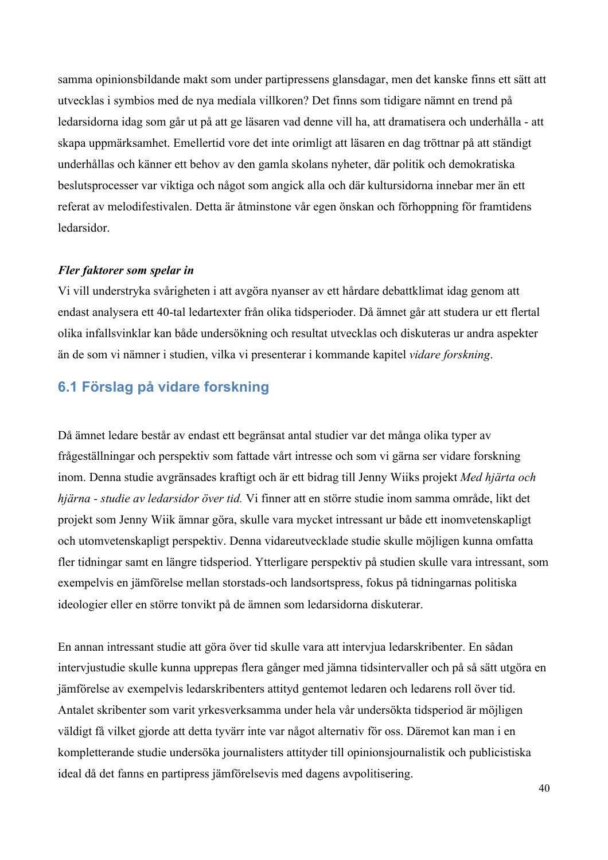samma opinionsbildande makt som under partipressens glansdagar, men det kanske finns ett sätt att utvecklas i symbios med de nya mediala villkoren? Det finns som tidigare nämnt en trend på ledarsidorna idag som går ut på att ge läsaren vad denne vill ha, att dramatisera och underhålla - att skapa uppmärksamhet. Emellertid vore det inte orimligt att läsaren en dag tröttnar på att ständigt underhållas och känner ett behov av den gamla skolans nyheter, där politik och demokratiska beslutsprocesser var viktiga och något som angick alla och där kultursidorna innebar mer än ett referat av melodifestivalen. Detta är åtminstone vår egen önskan och förhoppning för framtidens ledarsidor.

#### *Fler faktorer som spelar in*

Vi vill understryka svårigheten i att avgöra nyanser av ett hårdare debattklimat idag genom att endast analysera ett 40-tal ledartexter från olika tidsperioder. Då ämnet går att studera ur ett flertal olika infallsvinklar kan både undersökning och resultat utvecklas och diskuteras ur andra aspekter än de som vi nämner i studien, vilka vi presenterar i kommande kapitel *vidare forskning*.

# **6.1 Förslag på vidare forskning**

Då ämnet ledare består av endast ett begränsat antal studier var det många olika typer av frågeställningar och perspektiv som fattade vårt intresse och som vi gärna ser vidare forskning inom. Denna studie avgränsades kraftigt och är ett bidrag till Jenny Wiiks projekt *Med hjärta och hjärna - studie av ledarsidor över tid.* Vi finner att en större studie inom samma område, likt det projekt som Jenny Wiik ämnar göra, skulle vara mycket intressant ur både ett inomvetenskapligt och utomvetenskapligt perspektiv. Denna vidareutvecklade studie skulle möjligen kunna omfatta fler tidningar samt en längre tidsperiod. Ytterligare perspektiv på studien skulle vara intressant, som exempelvis en jämförelse mellan storstads-och landsortspress, fokus på tidningarnas politiska ideologier eller en större tonvikt på de ämnen som ledarsidorna diskuterar.

En annan intressant studie att göra över tid skulle vara att intervjua ledarskribenter. En sådan intervjustudie skulle kunna upprepas flera gånger med jämna tidsintervaller och på så sätt utgöra en jämförelse av exempelvis ledarskribenters attityd gentemot ledaren och ledarens roll över tid. Antalet skribenter som varit yrkesverksamma under hela vår undersökta tidsperiod är möjligen väldigt få vilket gjorde att detta tyvärr inte var något alternativ för oss. Däremot kan man i en kompletterande studie undersöka journalisters attityder till opinionsjournalistik och publicistiska ideal då det fanns en partipress jämförelsevis med dagens avpolitisering.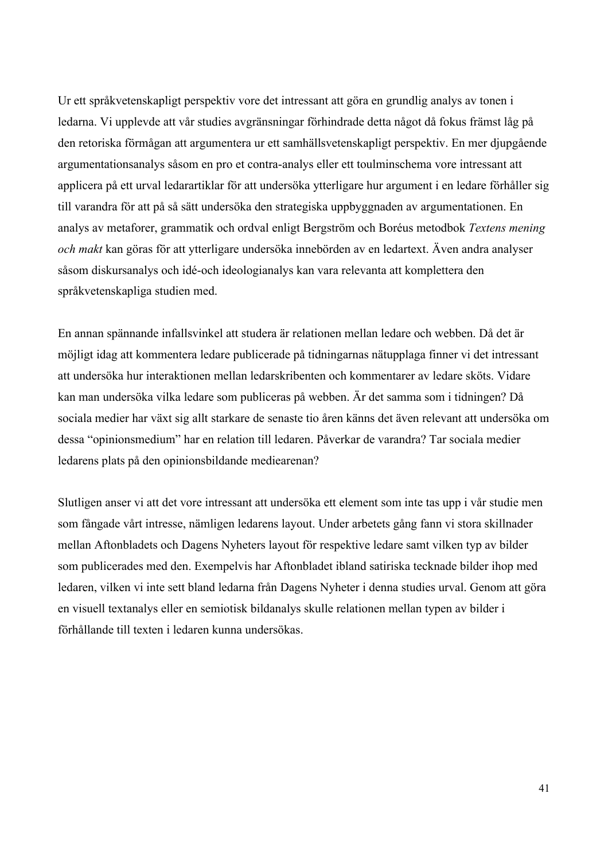Ur ett språkvetenskapligt perspektiv vore det intressant att göra en grundlig analys av tonen i ledarna. Vi upplevde att vår studies avgränsningar förhindrade detta något då fokus främst låg på den retoriska förmågan att argumentera ur ett samhällsvetenskapligt perspektiv. En mer djupgående argumentationsanalys såsom en pro et contra-analys eller ett toulminschema vore intressant att applicera på ett urval ledarartiklar för att undersöka ytterligare hur argument i en ledare förhåller sig till varandra för att på så sätt undersöka den strategiska uppbyggnaden av argumentationen. En analys av metaforer, grammatik och ordval enligt Bergström och Boréus metodbok *Textens mening och makt* kan göras för att ytterligare undersöka innebörden av en ledartext. Även andra analyser såsom diskursanalys och idé-och ideologianalys kan vara relevanta att komplettera den språkvetenskapliga studien med.

En annan spännande infallsvinkel att studera är relationen mellan ledare och webben. Då det är möjligt idag att kommentera ledare publicerade på tidningarnas nätupplaga finner vi det intressant att undersöka hur interaktionen mellan ledarskribenten och kommentarer av ledare sköts. Vidare kan man undersöka vilka ledare som publiceras på webben. Är det samma som i tidningen? Då sociala medier har växt sig allt starkare de senaste tio åren känns det även relevant att undersöka om dessa "opinionsmedium" har en relation till ledaren. Påverkar de varandra? Tar sociala medier ledarens plats på den opinionsbildande mediearenan?

Slutligen anser vi att det vore intressant att undersöka ett element som inte tas upp i vår studie men som fångade vårt intresse, nämligen ledarens layout. Under arbetets gång fann vi stora skillnader mellan Aftonbladets och Dagens Nyheters layout för respektive ledare samt vilken typ av bilder som publicerades med den. Exempelvis har Aftonbladet ibland satiriska tecknade bilder ihop med ledaren, vilken vi inte sett bland ledarna från Dagens Nyheter i denna studies urval. Genom att göra en visuell textanalys eller en semiotisk bildanalys skulle relationen mellan typen av bilder i förhållande till texten i ledaren kunna undersökas.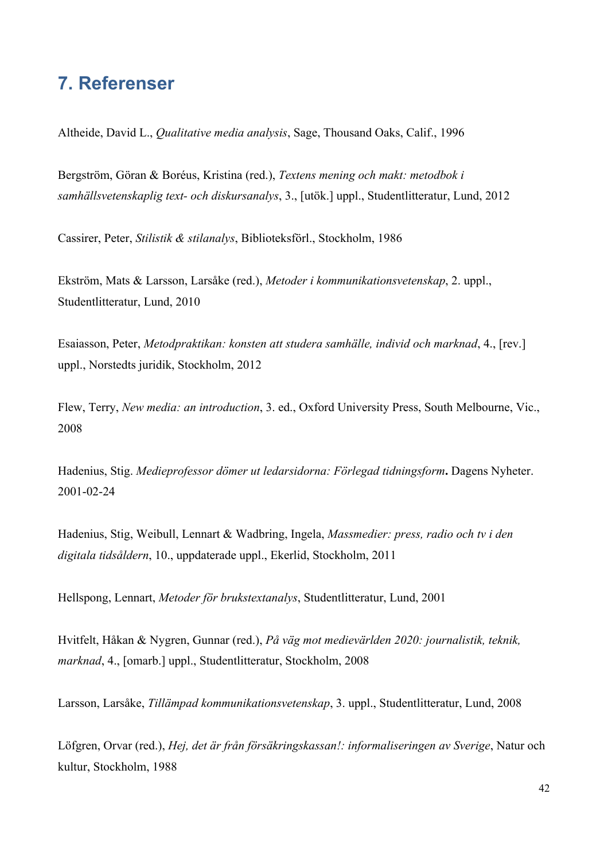# **7. Referenser**

Altheide, David L., *Qualitative media analysis*, Sage, Thousand Oaks, Calif., 1996

Bergström, Göran & Boréus, Kristina (red.), *Textens mening och makt: metodbok i samhällsvetenskaplig text- och diskursanalys*, 3., [utök.] uppl., Studentlitteratur, Lund, 2012

Cassirer, Peter, *Stilistik & stilanalys*, Biblioteksförl., Stockholm, 1986

Ekström, Mats & Larsson, Larsåke (red.), *Metoder i kommunikationsvetenskap*, 2. uppl., Studentlitteratur, Lund, 2010

Esaiasson, Peter, *Metodpraktikan: konsten att studera samhälle, individ och marknad*, 4., [rev.] uppl., Norstedts juridik, Stockholm, 2012

Flew, Terry, *New media: an introduction*, 3. ed., Oxford University Press, South Melbourne, Vic., 2008

Hadenius, Stig. *Medieprofessor dömer ut ledarsidorna: Förlegad tidningsform***.** Dagens Nyheter. 2001-02-24

Hadenius, Stig, Weibull, Lennart & Wadbring, Ingela, *Massmedier: press, radio och tv i den digitala tidsåldern*, 10., uppdaterade uppl., Ekerlid, Stockholm, 2011

Hellspong, Lennart, *Metoder för brukstextanalys*, Studentlitteratur, Lund, 2001

Hvitfelt, Håkan & Nygren, Gunnar (red.), *På väg mot medievärlden 2020: journalistik, teknik, marknad*, 4., [omarb.] uppl., Studentlitteratur, Stockholm, 2008

Larsson, Larsåke, *Tillämpad kommunikationsvetenskap*, 3. uppl., Studentlitteratur, Lund, 2008

Löfgren, Orvar (red.), *Hej, det är från försäkringskassan!: informaliseringen av Sverige*, Natur och kultur, Stockholm, 1988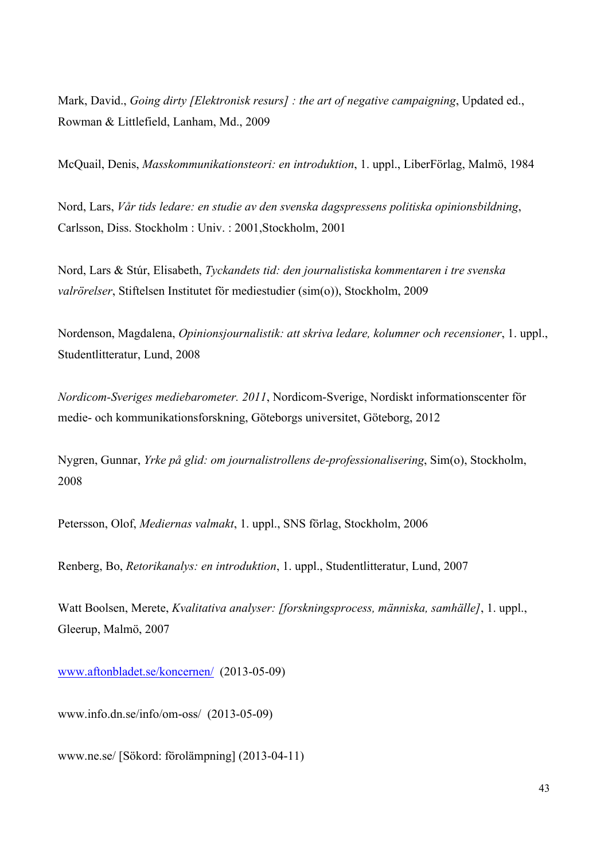Mark, David., *Going dirty [Elektronisk resurs] : the art of negative campaigning*, Updated ed., Rowman & Littlefield, Lanham, Md., 2009

McQuail, Denis, *Masskommunikationsteori: en introduktion*, 1. uppl., LiberFörlag, Malmö, 1984

Nord, Lars, *Vår tids ledare: en studie av den svenska dagspressens politiska opinionsbildning*, Carlsson, Diss. Stockholm : Univ. : 2001,Stockholm, 2001

Nord, Lars & Stúr, Elisabeth, *Tyckandets tid: den journalistiska kommentaren i tre svenska valrörelser*, Stiftelsen Institutet för mediestudier (sim(o)), Stockholm, 2009

Nordenson, Magdalena, *Opinionsjournalistik: att skriva ledare, kolumner och recensioner*, 1. uppl., Studentlitteratur, Lund, 2008

*Nordicom-Sveriges mediebarometer. 2011*, Nordicom-Sverige, Nordiskt informationscenter för medie- och kommunikationsforskning, Göteborgs universitet, Göteborg, 2012

Nygren, Gunnar, *Yrke på glid: om journalistrollens de-professionalisering*, Sim(o), Stockholm, 2008

Petersson, Olof, *Mediernas valmakt*, 1. uppl., SNS förlag, Stockholm, 2006

Renberg, Bo, *Retorikanalys: en introduktion*, 1. uppl., Studentlitteratur, Lund, 2007

Watt Boolsen, Merete, *Kvalitativa analyser: [forskningsprocess, människa, samhälle]*, 1. uppl., Gleerup, Malmö, 2007

www.aftonbladet.se/koncernen/ (2013-05-09)

www.info.dn.se/info/om-oss/ (2013-05-09)

www.ne.se/ [Sökord: förolämpning] (2013-04-11)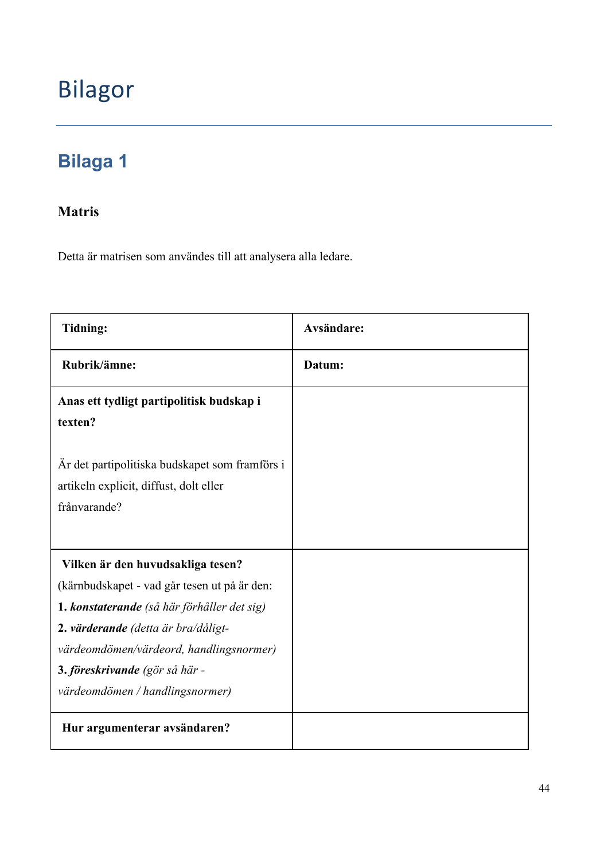# Bilagor

# **Bilaga 1**

# **Matris**

Detta är matrisen som användes till att analysera alla ledare.

| Tidning:                                                                                                                                                                                                                                                                                | <b>Avsändare:</b> |
|-----------------------------------------------------------------------------------------------------------------------------------------------------------------------------------------------------------------------------------------------------------------------------------------|-------------------|
| Rubrik/ämne:                                                                                                                                                                                                                                                                            | Datum:            |
| Anas ett tydligt partipolitisk budskap i<br>texten?                                                                                                                                                                                                                                     |                   |
| År det partipolitiska budskapet som framförs i<br>artikeln explicit, diffust, dolt eller<br>frånvarande?                                                                                                                                                                                |                   |
| Vilken är den huvudsakliga tesen?<br>(kärnbudskapet - vad går tesen ut på är den:<br>1. konstaterande (så här förhåller det sig)<br>2. värderande (detta är bra/dåligt-<br>värdeomdömen/värdeord, handlingsnormer)<br>3. föreskrivande (gör så här -<br>värdeomdömen / handlingsnormer) |                   |
| Hur argumenterar avsändaren?                                                                                                                                                                                                                                                            |                   |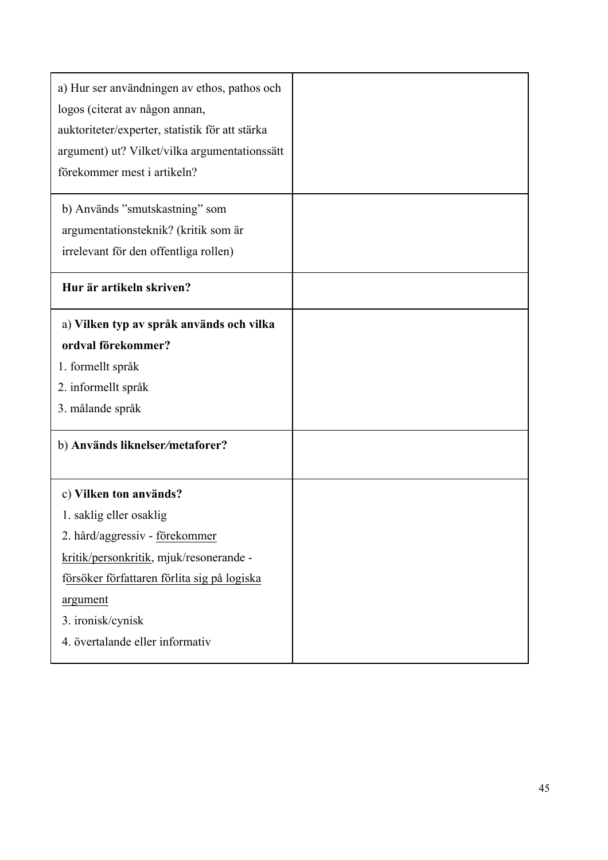| a) Hur ser användningen av ethos, pathos och<br>logos (citerat av någon annan,<br>auktoriteter/experter, statistik för att stärka<br>argument) ut? Vilket/vilka argumentationssätt<br>förekommer mest i artikeln?                                 |  |
|---------------------------------------------------------------------------------------------------------------------------------------------------------------------------------------------------------------------------------------------------|--|
| b) Används "smutskastning" som<br>argumentationsteknik? (kritik som är<br>irrelevant för den offentliga rollen)                                                                                                                                   |  |
| Hur är artikeln skriven?                                                                                                                                                                                                                          |  |
| a) Vilken typ av språk används och vilka<br>ordval förekommer?<br>1. formellt språk<br>2. informellt språk<br>3. målande språk<br>b) Används liknelser/metaforer?                                                                                 |  |
|                                                                                                                                                                                                                                                   |  |
| c) Vilken ton används?<br>1. saklig eller osaklig<br>2. hård/aggressiv - förekommer<br>kritik/personkritik, mjuk/resonerande -<br>försöker författaren förlita sig på logiska<br>argument<br>3. ironisk/cynisk<br>4. övertalande eller informativ |  |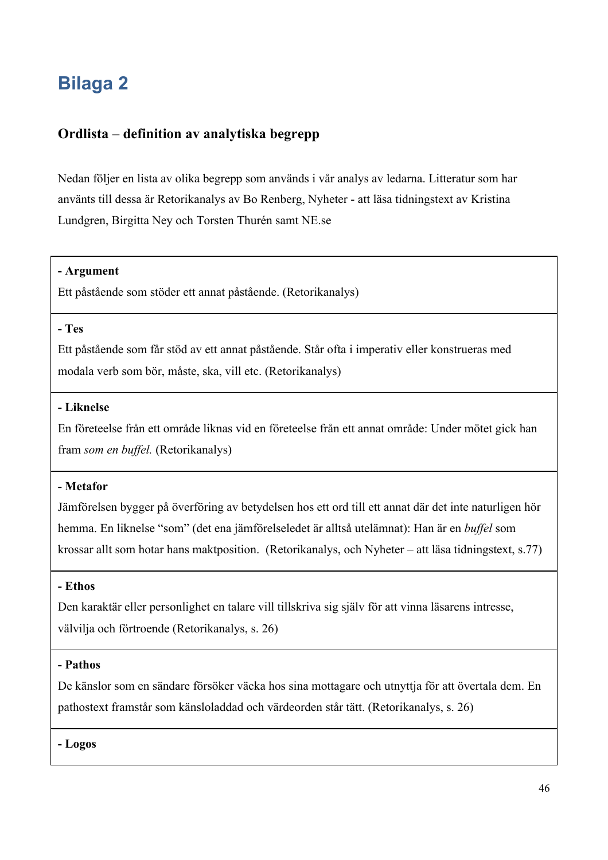# **Bilaga 2**

### **Ordlista – definition av analytiska begrepp**

Nedan följer en lista av olika begrepp som används i vår analys av ledarna. Litteratur som har använts till dessa är Retorikanalys av Bo Renberg, Nyheter - att läsa tidningstext av Kristina Lundgren, Birgitta Ney och Torsten Thurén samt NE.se

#### **- Argument**

Ett påstående som stöder ett annat påstående. (Retorikanalys)

#### **- Tes**

Ett påstående som får stöd av ett annat påstående. Står ofta i imperativ eller konstrueras med modala verb som bör, måste, ska, vill etc. (Retorikanalys)

#### **- Liknelse**

En företeelse från ett område liknas vid en företeelse från ett annat område: Under mötet gick han fram *som en buffel.* (Retorikanalys)

#### **- Metafor**

Jämförelsen bygger på överföring av betydelsen hos ett ord till ett annat där det inte naturligen hör hemma. En liknelse "som" (det ena jämförelseledet är alltså utelämnat): Han är en *buffel* som krossar allt som hotar hans maktposition. (Retorikanalys, och Nyheter – att läsa tidningstext, s.77)

#### **- Ethos**

Den karaktär eller personlighet en talare vill tillskriva sig själv för att vinna läsarens intresse, välvilja och förtroende (Retorikanalys, s. 26)

#### **- Pathos**

De känslor som en sändare försöker väcka hos sina mottagare och utnyttja för att övertala dem. En pathostext framstår som känsloladdad och värdeorden står tätt. (Retorikanalys, s. 26)

**- Logos**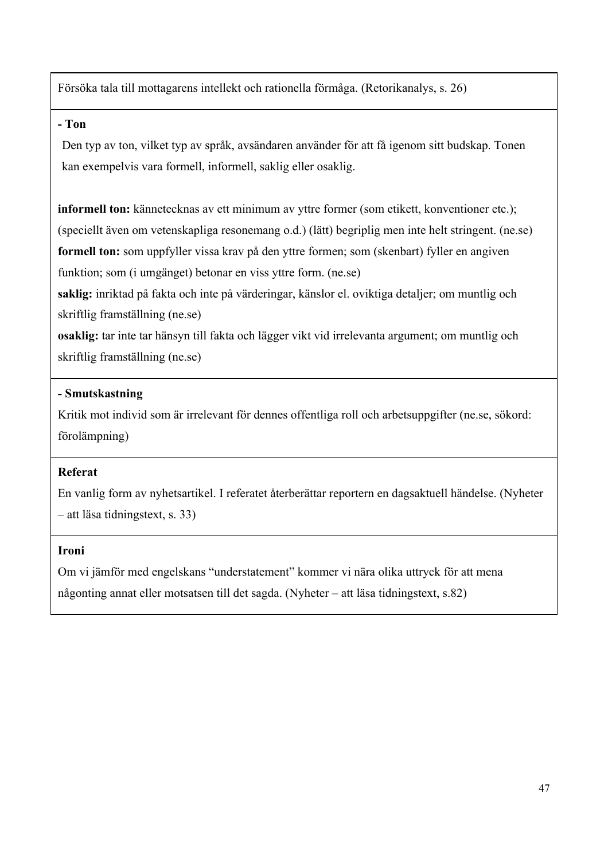Försöka tala till mottagarens intellekt och rationella förmåga. (Retorikanalys, s. 26)

### **- Ton**

Den typ av ton, vilket typ av språk, avsändaren använder för att få igenom sitt budskap. Tonen kan exempelvis vara formell, informell, saklig eller osaklig.

**informell ton:** kännetecknas av ett minimum av yttre former (som etikett, konventioner etc.); (speciellt även om vetenskapliga resonemang o.d.) (lätt) begriplig men inte helt stringent. (ne.se) **formell ton:** som uppfyller vissa krav på den yttre formen; som (skenbart) fyller en angiven funktion; som (i umgänget) betonar en viss yttre form. (ne.se)

**saklig:** inriktad på fakta och inte på värderingar, känslor el. oviktiga detaljer; om muntlig och skriftlig framställning (ne.se)

**osaklig:** tar inte tar hänsyn till fakta och lägger vikt vid irrelevanta argument; om muntlig och skriftlig framställning (ne.se)

### **- Smutskastning**

Kritik mot individ som är irrelevant för dennes offentliga roll och arbetsuppgifter (ne.se, sökord: förolämpning)

### **Referat**

En vanlig form av nyhetsartikel. I referatet återberättar reportern en dagsaktuell händelse. (Nyheter – att läsa tidningstext, s. 33)

### **Ironi**

Om vi jämför med engelskans "understatement" kommer vi nära olika uttryck för att mena någonting annat eller motsatsen till det sagda. (Nyheter – att läsa tidningstext, s.82)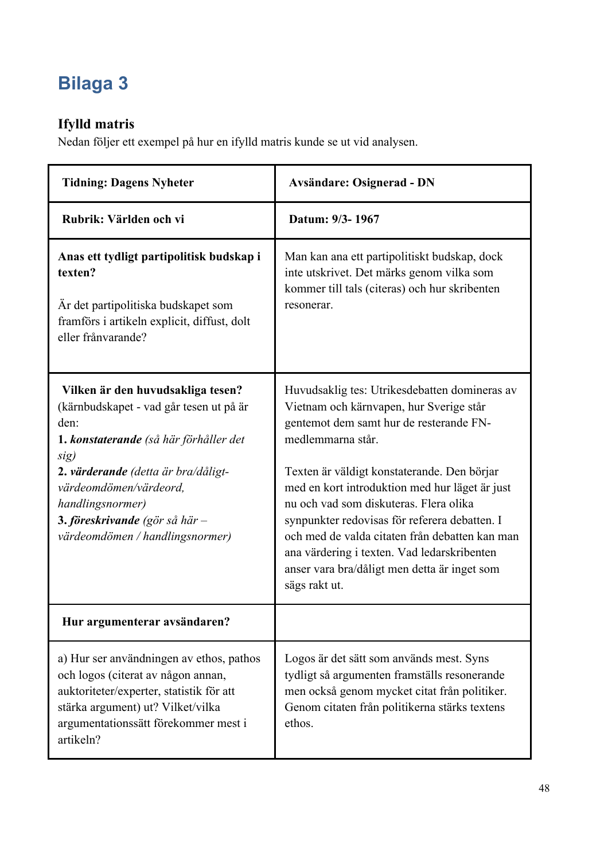# **Bilaga 3**

# **Ifylld matris**

Nedan följer ett exempel på hur en ifylld matris kunde se ut vid analysen.

| <b>Tidning: Dagens Nyheter</b>                                                                                                                                                                                                                                                                            | <b>Avsändare: Osignerad - DN</b>                                                                                                                                                                                                                                                                                                                                                                                                                                                                                       |  |
|-----------------------------------------------------------------------------------------------------------------------------------------------------------------------------------------------------------------------------------------------------------------------------------------------------------|------------------------------------------------------------------------------------------------------------------------------------------------------------------------------------------------------------------------------------------------------------------------------------------------------------------------------------------------------------------------------------------------------------------------------------------------------------------------------------------------------------------------|--|
| Rubrik: Världen och vi                                                                                                                                                                                                                                                                                    | Datum: 9/3-1967                                                                                                                                                                                                                                                                                                                                                                                                                                                                                                        |  |
| Anas ett tydligt partipolitisk budskap i<br>texten?<br>År det partipolitiska budskapet som<br>framförs i artikeln explicit, diffust, dolt<br>eller frånvarande?                                                                                                                                           | Man kan ana ett partipolitiskt budskap, dock<br>inte utskrivet. Det märks genom vilka som<br>kommer till tals (citeras) och hur skribenten<br>resonerar.                                                                                                                                                                                                                                                                                                                                                               |  |
| Vilken är den huvudsakliga tesen?<br>(kärnbudskapet - vad går tesen ut på är<br>den:<br><b>1. konstaterande</b> (så här förhåller det<br>sig)<br>2. värderande (detta är bra/dåligt-<br>värdeomdömen/värdeord,<br>handlingsnormer)<br>3. föreskrivande (gör så här $-$<br>värdeomdömen / handlingsnormer) | Huvudsaklig tes: Utrikesdebatten domineras av<br>Vietnam och kärnvapen, hur Sverige står<br>gentemot dem samt hur de resterande FN-<br>medlemmarna står.<br>Texten är väldigt konstaterande. Den börjar<br>med en kort introduktion med hur läget är just<br>nu och vad som diskuteras. Flera olika<br>synpunkter redovisas för referera debatten. I<br>och med de valda citaten från debatten kan man<br>ana värdering i texten. Vad ledarskribenten<br>anser vara bra/dåligt men detta är inget som<br>sägs rakt ut. |  |
| Hur argumenterar avsändaren?                                                                                                                                                                                                                                                                              |                                                                                                                                                                                                                                                                                                                                                                                                                                                                                                                        |  |
| a) Hur ser användningen av ethos, pathos<br>och logos (citerat av någon annan,<br>auktoriteter/experter, statistik för att<br>stärka argument) ut? Vilket/vilka<br>argumentationssätt förekommer mest i<br>artikeln?                                                                                      | Logos är det sätt som används mest. Syns<br>tydligt så argumenten framställs resonerande<br>men också genom mycket citat från politiker.<br>Genom citaten från politikerna stärks textens<br>ethos.                                                                                                                                                                                                                                                                                                                    |  |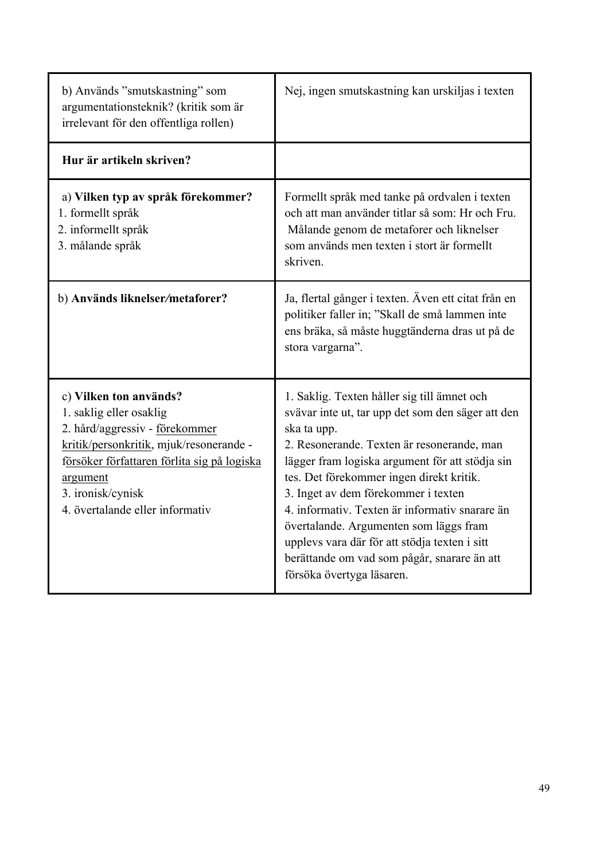| b) Används "smutskastning" som<br>argumentationsteknik? (kritik som är<br>irrelevant för den offentliga rollen)                                                                                                                                   | Nej, ingen smutskastning kan urskiljas i texten                                                                                                                                                                                                                                                                                                                                                                                                                                                                              |
|---------------------------------------------------------------------------------------------------------------------------------------------------------------------------------------------------------------------------------------------------|------------------------------------------------------------------------------------------------------------------------------------------------------------------------------------------------------------------------------------------------------------------------------------------------------------------------------------------------------------------------------------------------------------------------------------------------------------------------------------------------------------------------------|
| Hur är artikeln skriven?                                                                                                                                                                                                                          |                                                                                                                                                                                                                                                                                                                                                                                                                                                                                                                              |
| a) Vilken typ av språk förekommer?<br>1. formellt språk<br>2. informellt språk<br>3. målande språk                                                                                                                                                | Formellt språk med tanke på ordvalen i texten<br>och att man använder titlar så som: Hr och Fru.<br>Målande genom de metaforer och liknelser<br>som används men texten i stort är formellt<br>skriven.                                                                                                                                                                                                                                                                                                                       |
| b) Används liknelser/metaforer?                                                                                                                                                                                                                   | Ja, flertal gånger i texten. Även ett citat från en<br>politiker faller in; "Skall de små lammen inte<br>ens bräka, så måste huggtänderna dras ut på de<br>stora vargarna".                                                                                                                                                                                                                                                                                                                                                  |
| c) Vilken ton används?<br>1. saklig eller osaklig<br>2. hård/aggressiv - förekommer<br>kritik/personkritik, mjuk/resonerande -<br>försöker författaren förlita sig på logiska<br>argument<br>3. ironisk/cynisk<br>4. övertalande eller informativ | 1. Saklig. Texten håller sig till ämnet och<br>svävar inte ut, tar upp det som den säger att den<br>ska ta upp.<br>2. Resonerande. Texten är resonerande, man<br>lägger fram logiska argument för att stödja sin<br>tes. Det förekommer ingen direkt kritik.<br>3. Inget av dem förekommer i texten<br>4. informativ. Texten är informativ snarare än<br>övertalande. Argumenten som läggs fram<br>upplevs vara där för att stödja texten i sitt<br>berättande om vad som pågår, snarare än att<br>försöka övertyga läsaren. |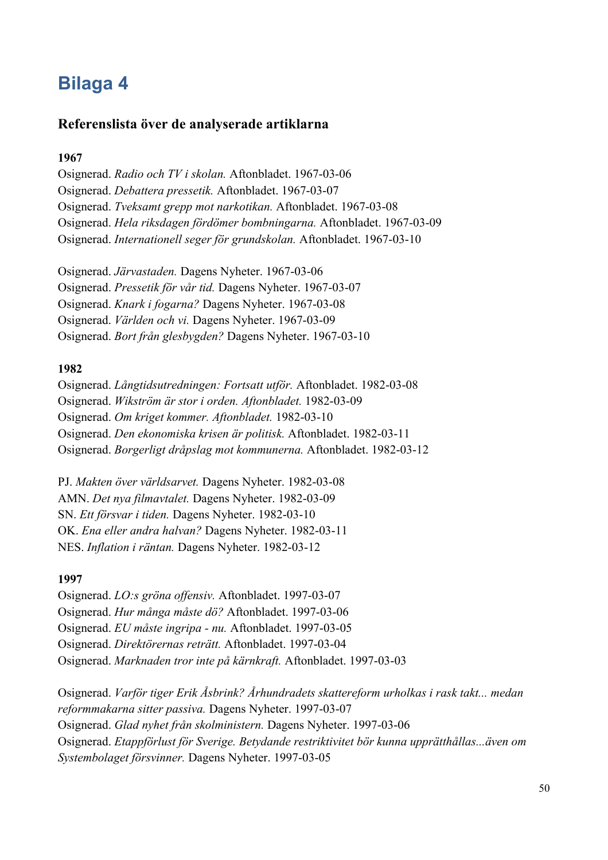# **Bilaga 4**

#### **Referenslista över de analyserade artiklarna**

#### **1967**

Osignerad. *Radio och TV i skolan.* Aftonbladet. 1967-03-06 Osignerad. *Debattera pressetik.* Aftonbladet. 1967-03-07 Osignerad. *Tveksamt grepp mot narkotikan.* Aftonbladet. 1967-03-08 Osignerad. *Hela riksdagen fördömer bombningarna.* Aftonbladet. 1967-03-09 Osignerad. *Internationell seger för grundskolan.* Aftonbladet. 1967-03-10

Osignerad. *Järvastaden.* Dagens Nyheter. 1967-03-06

Osignerad. *Pressetik för vår tid.* Dagens Nyheter. 1967-03-07

Osignerad. *Knark i fogarna?* Dagens Nyheter. 1967-03-08

Osignerad. *Världen och vi.* Dagens Nyheter. 1967-03-09

Osignerad. *Bort från glesbygden?* Dagens Nyheter. 1967-03-10

#### **1982**

Osignerad. *Långtidsutredningen: Fortsatt utför.* Aftonbladet. 1982-03-08 Osignerad. *Wikström är stor i orden. Aftonbladet.* 1982-03-09 Osignerad. *Om kriget kommer. Aftonbladet.* 1982-03-10 Osignerad. *Den ekonomiska krisen är politisk.* Aftonbladet. 1982-03-11 Osignerad. *Borgerligt dråpslag mot kommunerna.* Aftonbladet. 1982-03-12

PJ. *Makten över världsarvet.* Dagens Nyheter. 1982-03-08 AMN. *Det nya filmavtalet.* Dagens Nyheter. 1982-03-09 SN. *Ett försvar i tiden.* Dagens Nyheter. 1982-03-10 OK. *Ena eller andra halvan?* Dagens Nyheter. 1982-03-11 NES. *Inflation i räntan.* Dagens Nyheter. 1982-03-12

#### **1997**

Osignerad. *LO:s gröna offensiv.* Aftonbladet. 1997-03-07

Osignerad. *Hur många måste dö?* Aftonbladet. 1997-03-06

Osignerad. *EU måste ingripa - nu.* Aftonbladet. 1997-03-05

Osignerad. *Direktörernas reträtt.* Aftonbladet. 1997-03-04

Osignerad. *Marknaden tror inte på kärnkraft.* Aftonbladet. 1997-03-03

Osignerad. *Varför tiger Erik Åsbrink? Århundradets skattereform urholkas i rask takt... medan reformmakarna sitter passiva.* Dagens Nyheter. 1997-03-07 Osignerad. *Glad nyhet från skolministern.* Dagens Nyheter. 1997-03-06 Osignerad. *Etappförlust för Sverige. Betydande restriktivitet bör kunna upprätthållas...även om Systembolaget försvinner.* Dagens Nyheter. 1997-03-05